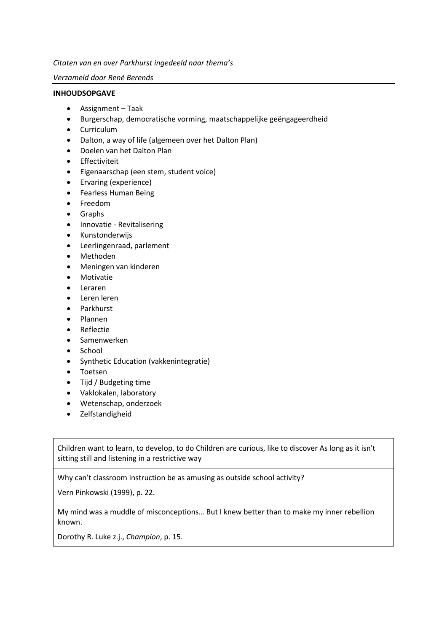*Citaten van en over Parkhurst ingedeeld naar thema's*

#### *Verzameld door René Berends*

#### **INHOUDSOPGAVE**

- Assignment Taak
- Burgerschap, democratische vorming, maatschappelijke geëngageerdheid
- Curriculum
- Dalton, a way of life (algemeen over het Dalton Plan)
- Doelen van het Dalton Plan
- Effectiviteit
- Eigenaarschap (een stem, student voice)
- Ervaring (experience)
- Fearless Human Being
- Freedom
- Graphs
- Innovatie Revitalisering
- Kunstonderwijs
- Leerlingenraad, parlement
- Methoden
- Meningen van kinderen
- Motivatie
- Leraren
- Leren leren
- Parkhurst
- Plannen
- Reflectie
- Samenwerken
- School
- Synthetic Education (vakkenintegratie)
- Toetsen
- Tijd / Budgeting time
- Vaklokalen, laboratory
- Wetenschap, onderzoek
- Zelfstandigheid

Children want to learn, to develop, to do Children are curious, like to discover As long as it isn't sitting still and listening in a restrictive way

Why can't classroom instruction be as amusing as outside school activity?

Vern Pinkowski (1999), p. 22.

My mind was a muddle of misconceptions… But I knew better than to make my inner rebellion known.

Dorothy R. Luke z.j., *Champion*, p. 15.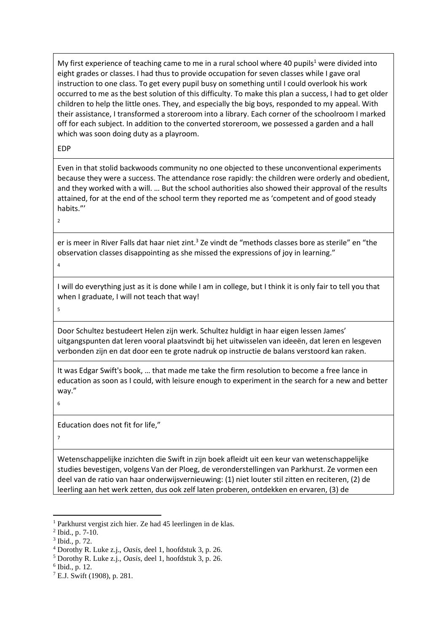My first experience of teaching came to me in a rural school where 40 pupils<sup>1</sup> were divided into eight grades or classes. I had thus to provide occupation for seven classes while I gave oral instruction to one class. To get every pupil busy on something until I could overlook his work occurred to me as the best solution of this difficulty. To make this plan a success, I had to get older children to help the little ones. They, and especially the big boys, responded to my appeal. With their assistance, I transformed a storeroom into a library. Each corner of the schoolroom I marked off for each subject. In addition to the converted storeroom, we possessed a garden and a hall which was soon doing duty as a playroom.

EDP

Even in that stolid backwoods community no one objected to these unconventional experiments because they were a success. The attendance rose rapidly: the children were orderly and obedient, and they worked with a will. … But the school authorities also showed their approval of the results attained, for at the end of the school term they reported me as 'competent and of good steady habits."'

 $\overline{2}$ 

er is meer in River Falls dat haar niet zint.<sup>3</sup> Ze vindt de "methods classes bore as sterile" en "the observation classes disappointing as she missed the expressions of joy in learning."

4

I will do everything just as it is done while I am in college, but I think it is only fair to tell you that when I graduate, I will not teach that way!

5

Door Schultez bestudeert Helen zijn werk. Schultez huldigt in haar eigen lessen James' uitgangspunten dat leren vooral plaatsvindt bij het uitwisselen van ideeën, dat leren en lesgeven verbonden zijn en dat door een te grote nadruk op instructie de balans verstoord kan raken.

It was Edgar Swift's book, … that made me take the firm resolution to become a free lance in education as soon as I could, with leisure enough to experiment in the search for a new and better way."

6

Education does not fit for life,"

7

Wetenschappelijke inzichten die Swift in zijn boek afleidt uit een keur van wetenschappelijke studies bevestigen, volgens Van der Ploeg, de veronderstellingen van Parkhurst. Ze vormen een deel van de ratio van haar onderwijsvernieuwing: (1) niet louter stil zitten en reciteren, (2) de leerling aan het werk zetten, dus ook zelf laten proberen, ontdekken en ervaren, (3) de

<sup>1</sup> Parkhurst vergist zich hier. Ze had 45 leerlingen in de klas.

 $2$  Ibid., p. 7-10.

<sup>3</sup> Ibid., p. 72.

<sup>4</sup> Dorothy R. Luke z.j., *Oasis*, deel 1, hoofdstuk 3, p. 26.

<sup>5</sup> Dorothy R. Luke z.j., *Oasis*, deel 1, hoofdstuk 3, p. 26.

<sup>6</sup> Ibid., p. 12.

<sup>7</sup> E.J. Swift (1908), p. 281.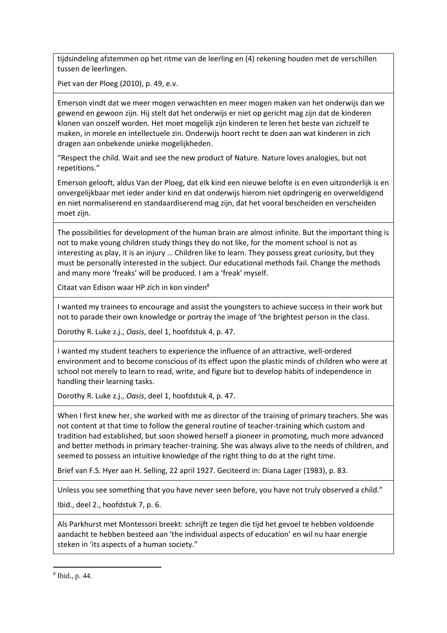tijdsindeling afstemmen op het ritme van de leerling en (4) rekening houden met de verschillen tussen de leerlingen.

Piet van der Ploeg (2010), p. 49, e.v.

Emerson vindt dat we meer mogen verwachten en meer mogen maken van het onderwijs dan we gewend en gewoon zijn. Hij stelt dat het onderwijs er niet op gericht mag zijn dat de kinderen klonen van onszelf worden. Het moet mogelijk zijn kinderen te leren het beste van zichzelf te maken, in morele en intellectuele zin. Onderwijs hoort recht te doen aan wat kinderen in zich dragen aan onbekende unieke mogelijkheden.

"Respect the child. Wait and see the new product of Nature. Nature loves analogies, but not repetitions."

Emerson gelooft, aldus Van der Ploeg, dat elk kind een nieuwe belofte is en even uitzonderlijk is en onvergelijkbaar met ieder ander kind en dat onderwijs hierom niet opdringerig en overweldigend en niet normaliserend en standaardiserend mag zijn, dat het vooral bescheiden en verscheiden moet zijn.

The possibilities for development of the human brain are almost infinite. But the important thing is not to make young children study things they do not like, for the moment school is not as interesting as play, it is an injury … Children like to learn. They possess great curiosity, but they must be personally interested in the subject. Our educational methods fail. Change the methods and many more 'freaks' will be produced. I am a 'freak' myself.

Citaat van Edison waar HP zich in kon vinden<sup>8</sup>

I wanted my trainees to encourage and assist the youngsters to achieve success in their work but not to parade their own knowledge or portray the image of 'the brightest person in the class.

Dorothy R. Luke z.j., *Oasis*, deel 1, hoofdstuk 4, p. 47.

I wanted my student teachers to experience the influence of an attractive, well-ordered environment and to become conscious of its effect upon the plastic minds of children who were at school not merely to learn to read, write, and figure but to develop habits of independence in handling their learning tasks.

Dorothy R. Luke z.j., *Oasis*, deel 1, hoofdstuk 4, p. 47.

When I first knew her, she worked with me as director of the training of primary teachers. She was not content at that time to follow the general routine of teacher-training which custom and tradition had established, but soon showed herself a pioneer in promoting, much more advanced and better methods in primary teacher-training. She was always alive to the needs of children, and seemed to possess an intuitive knowledge of the right thing to do at the right time.

Brief van F.S. Hyer aan H. Selling, 22 april 1927. Geciteerd in: Diana Lager (1983), p. 83.

Unless you see something that you have never seen before, you have not truly observed a child."

Ibid., deel 2., hoofdstuk 7, p. 6.

Als Parkhurst met Montessori breekt: schrijft ze tegen die tijd het gevoel te hebben voldoende aandacht te hebben besteed aan 'the individual aspects of education' en wil nu haar energie steken in 'its aspects of a human society."

8 Ibid., p. 44.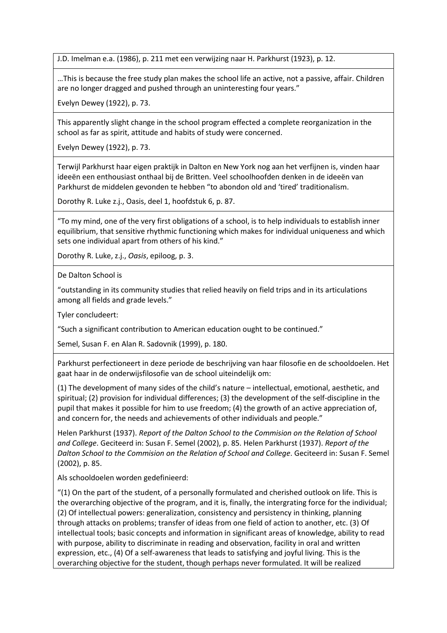J.D. Imelman e.a. (1986), p. 211 met een verwijzing naar H. Parkhurst (1923), p. 12.

…This is because the free study plan makes the school life an active, not a passive, affair. Children are no longer dragged and pushed through an uninteresting four years."

Evelyn Dewey (1922), p. 73.

This apparently slight change in the school program effected a complete reorganization in the school as far as spirit, attitude and habits of study were concerned.

Evelyn Dewey (1922), p. 73.

Terwijl Parkhurst haar eigen praktijk in Dalton en New York nog aan het verfijnen is, vinden haar ideeën een enthousiast onthaal bij de Britten. Veel schoolhoofden denken in de ideeën van Parkhurst de middelen gevonden te hebben "to abondon old and 'tired' traditionalism.

Dorothy R. Luke z.j., Oasis, deel 1, hoofdstuk 6, p. 87.

"To my mind, one of the very first obligations of a school, is to help individuals to establish inner equilibrium, that sensitive rhythmic functioning which makes for individual uniqueness and which sets one individual apart from others of his kind."

Dorothy R. Luke, z.j., *Oasis*, epiloog, p. 3.

De Dalton School is

"outstanding in its community studies that relied heavily on field trips and in its articulations among all fields and grade levels."

Tyler concludeert:

"Such a significant contribution to American education ought to be continued."

Semel, Susan F. en Alan R. Sadovnik (1999), p. 180.

Parkhurst perfectioneert in deze periode de beschrijving van haar filosofie en de schooldoelen. Het gaat haar in de onderwijsfilosofie van de school uiteindelijk om:

(1) The development of many sides of the child's nature – intellectual, emotional, aesthetic, and spiritual; (2) provision for individual differences; (3) the development of the self-discipline in the pupil that makes it possible for him to use freedom; (4) the growth of an active appreciation of, and concern for, the needs and achievements of other individuals and people."

Helen Parkhurst (1937). *Report of the Dalton School to the Commision on the Relation of School and College*. Geciteerd in: Susan F. Semel (2002), p. 85. Helen Parkhurst (1937). *Report of the Dalton School to the Commision on the Relation of School and College*. Geciteerd in: Susan F. Semel (2002), p. 85.

Als schooldoelen worden gedefinieerd:

"(1) On the part of the student, of a personally formulated and cherished outlook on life. This is the overarching objective of the program, and it is, finally, the intergrating force for the individual; (2) Of intellectual powers: generalization, consistency and persistency in thinking, planning through attacks on problems; transfer of ideas from one field of action to another, etc. (3) Of intellectual tools; basic concepts and information in significant areas of knowledge, ability to read with purpose, ability to discriminate in reading and observation, facility in oral and written expression, etc., (4) Of a self-awareness that leads to satisfying and joyful living. This is the overarching objective for the student, though perhaps never formulated. It will be realized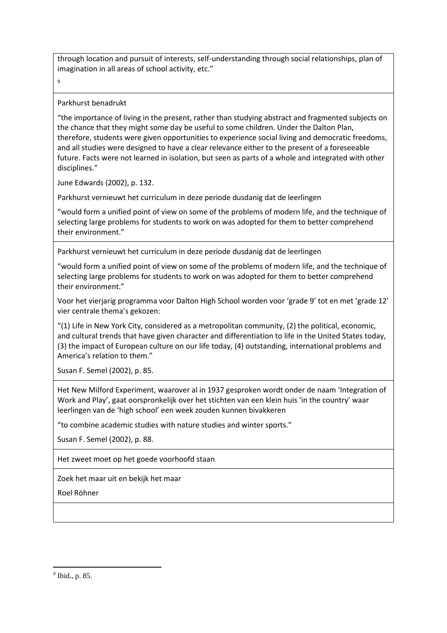through location and pursuit of interests, self-understanding through social relationships, plan of imagination in all areas of school activity, etc."

 $\alpha$ 

#### Parkhurst benadrukt

"the importance of living in the present, rather than studying abstract and fragmented subjects on the chance that they might some day be useful to some children. Under the Dalton Plan, therefore, students were given opportunities to experience social living and democratic freedoms, and all studies were designed to have a clear relevance either to the present of a foreseeable future. Facts were not learned in isolation, but seen as parts of a whole and integrated with other disciplines."

June Edwards (2002), p. 132.

Parkhurst vernieuwt het curriculum in deze periode dusdanig dat de leerlingen

"would form a unified point of view on some of the problems of modern life, and the technique of selecting large problems for students to work on was adopted for them to better comprehend their environment."

Parkhurst vernieuwt het curriculum in deze periode dusdanig dat de leerlingen

"would form a unified point of view on some of the problems of modern life, and the technique of selecting large problems for students to work on was adopted for them to better comprehend their environment."

Voor het vierjarig programma voor Dalton High School worden voor 'grade 9' tot en met 'grade 12' vier centrale thema's gekozen:

"(1) Life in New York City, considered as a metropolitan community, (2) the political, economic, and cultural trends that have given character and differentiation to life in the United States today, (3) the impact of European culture on our life today, (4) outstanding, international problems and America's relation to them."

Susan F. Semel (2002), p. 85.

Het New Milford Experiment, waarover al in 1937 gesproken wordt onder de naam 'Integration of Work and Play', gaat oorspronkelijk over het stichten van een klein huis 'in the country' waar leerlingen van de 'high school' een week zouden kunnen bivakkeren

"to combine academic studies with nature studies and winter sports."

Susan F. Semel (2002), p. 88.

Het zweet moet op het goede voorhoofd staan

Zoek het maar uit en bekijk het maar

Roel Röhner

9 Ibid., p. 85.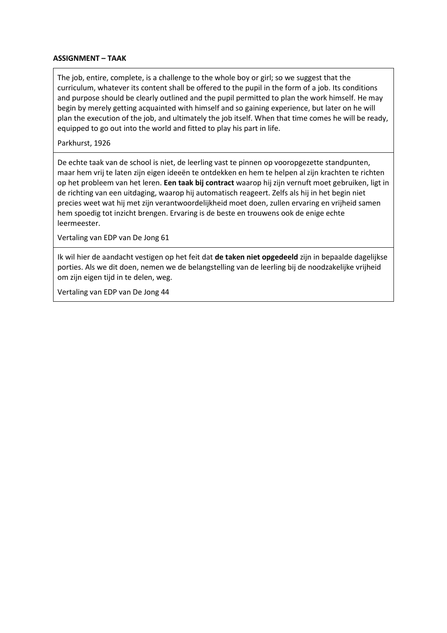## **ASSIGNMENT – TAAK**

The job, entire, complete, is a challenge to the whole boy or girl; so we suggest that the curriculum, whatever its content shall be offered to the pupil in the form of a job. Its conditions and purpose should be clearly outlined and the pupil permitted to plan the work himself. He may begin by merely getting acquainted with himself and so gaining experience, but later on he will plan the execution of the job, and ultimately the job itself. When that time comes he will be ready, equipped to go out into the world and fitted to play his part in life.

Parkhurst, 1926

De echte taak van de school is niet, de leerling vast te pinnen op vooropgezette standpunten, maar hem vrij te laten zijn eigen ideeën te ontdekken en hem te helpen al zijn krachten te richten op het probleem van het leren. **Een taak bij contract** waarop hij zijn vernuft moet gebruiken, ligt in de richting van een uitdaging, waarop hij automatisch reageert. Zelfs als hij in het begin niet precies weet wat hij met zijn verantwoordelijkheid moet doen, zullen ervaring en vrijheid samen hem spoedig tot inzicht brengen. Ervaring is de beste en trouwens ook de enige echte leermeester.

Vertaling van EDP van De Jong 61

Ik wil hier de aandacht vestigen op het feit dat **de taken niet opgedeeld** zijn in bepaalde dagelijkse porties. Als we dit doen, nemen we de belangstelling van de leerling bij de noodzakelijke vrijheid om zijn eigen tijd in te delen, weg.

Vertaling van EDP van De Jong 44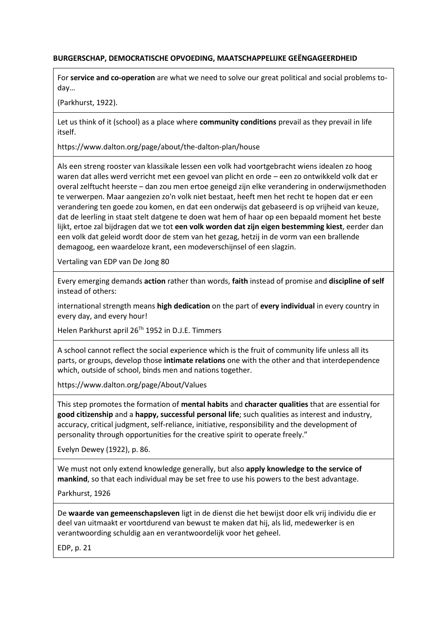## **BURGERSCHAP, DEMOCRATISCHE OPVOEDING, MAATSCHAPPELIJKE GEËNGAGEERDHEID**

For **service and co-operation** are what we need to solve our great political and social problems today…

(Parkhurst, 1922).

Let us think of it (school) as a place where **community conditions** prevail as they prevail in life itself.

https://www.dalton.org/page/about/the-dalton-plan/house

Als een streng rooster van klassikale lessen een volk had voortgebracht wiens idealen zo hoog waren dat alles werd verricht met een gevoel van plicht en orde – een zo ontwikkeld volk dat er overal zelftucht heerste – dan zou men ertoe geneigd zijn elke verandering in onderwijsmethoden te verwerpen. Maar aangezien zo'n volk niet bestaat, heeft men het recht te hopen dat er een verandering ten goede zou komen, en dat een onderwijs dat gebaseerd is op vrijheid van keuze, dat de leerling in staat stelt datgene te doen wat hem of haar op een bepaald moment het beste lijkt, ertoe zal bijdragen dat we tot **een volk worden dat zijn eigen bestemming kiest**, eerder dan een volk dat geleid wordt door de stem van het gezag, hetzij in de vorm van een brallende demagoog, een waardeloze krant, een modeverschijnsel of een slagzin.

Vertaling van EDP van De Jong 80

Every emerging demands **action** rather than words, **faith** instead of promise and **discipline of self** instead of others:

international strength means **high dedication** on the part of **every individual** in every country in every day, and every hour!

Helen Parkhurst april 26<sup>Th</sup> 1952 in D.J.E. Timmers

A school cannot reflect the social experience which is the fruit of community life unless all its parts, or groups, develop those **intimate relations** one with the other and that interdependence which, outside of school, binds men and nations together.

https://www.dalton.org/page/About/Values

This step promotes the formation of **mental habits** and **character qualities** that are essential for **good citizenship** and a **happy, successful personal life**; such qualities as interest and industry, accuracy, critical judgment, self-reliance, initiative, responsibility and the development of personality through opportunities for the creative spirit to operate freely."

Evelyn Dewey (1922), p. 86.

We must not only extend knowledge generally, but also **apply knowledge to the service of mankind**, so that each individual may be set free to use his powers to the best advantage.

Parkhurst, 1926

De **waarde van gemeenschapsleven** ligt in de dienst die het bewijst door elk vrij individu die er deel van uitmaakt er voortdurend van bewust te maken dat hij, als lid, medewerker is en verantwoording schuldig aan en verantwoordelijk voor het geheel.

EDP, p. 21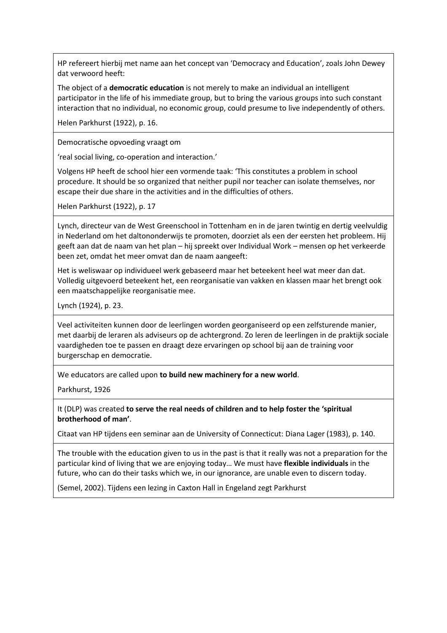HP refereert hierbij met name aan het concept van 'Democracy and Education', zoals John Dewey dat verwoord heeft:

The object of a **democratic education** is not merely to make an individual an intelligent participator in the life of his immediate group, but to bring the various groups into such constant interaction that no individual, no economic group, could presume to live independently of others.

Helen Parkhurst (1922), p. 16.

Democratische opvoeding vraagt om

'real social living, co-operation and interaction.'

Volgens HP heeft de school hier een vormende taak: 'This constitutes a problem in school procedure. It should be so organized that neither pupil nor teacher can isolate themselves, nor escape their due share in the activities and in the difficulties of others.

Helen Parkhurst (1922), p. 17

Lynch, directeur van de West Greenschool in Tottenham en in de jaren twintig en dertig veelvuldig in Nederland om het daltononderwijs te promoten, doorziet als een der eersten het probleem. Hij geeft aan dat de naam van het plan – hij spreekt over Individual Work – mensen op het verkeerde been zet, omdat het meer omvat dan de naam aangeeft:

Het is weliswaar op individueel werk gebaseerd maar het beteekent heel wat meer dan dat. Volledig uitgevoerd beteekent het, een reorganisatie van vakken en klassen maar het brengt ook een maatschappelijke reorganisatie mee.

Lynch (1924), p. 23.

Veel activiteiten kunnen door de leerlingen worden georganiseerd op een zelfsturende manier, met daarbij de leraren als adviseurs op de achtergrond. Zo leren de leerlingen in de praktijk sociale vaardigheden toe te passen en draagt deze ervaringen op school bij aan de training voor burgerschap en democratie.

We educators are called upon **to build new machinery for a new world**.

Parkhurst, 1926

It (DLP) was created **to serve the real needs of children and to help foster the 'spiritual brotherhood of man'**.

Citaat van HP tijdens een seminar aan de University of Connecticut: Diana Lager (1983), p. 140.

The trouble with the education given to us in the past is that it really was not a preparation for the particular kind of living that we are enjoying today… We must have **flexible individuals** in the future, who can do their tasks which we, in our ignorance, are unable even to discern today.

(Semel, 2002). Tijdens een lezing in Caxton Hall in Engeland zegt Parkhurst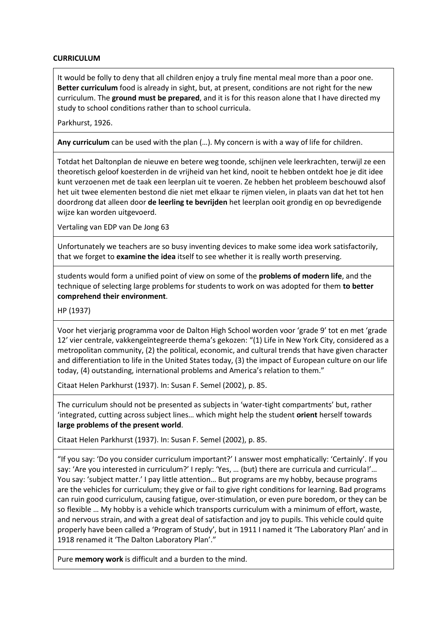## **CURRICULUM**

It would be folly to deny that all children enjoy a truly fine mental meal more than a poor one. **Better curriculum** food is already in sight, but, at present, conditions are not right for the new curriculum. The **ground must be prepared**, and it is for this reason alone that I have directed my study to school conditions rather than to school curricula.

Parkhurst, 1926.

**Any curriculum** can be used with the plan (…). My concern is with a way of life for children.

Totdat het Daltonplan de nieuwe en betere weg toonde, schijnen vele leerkrachten, terwijl ze een theoretisch geloof koesterden in de vrijheid van het kind, nooit te hebben ontdekt hoe je dit idee kunt verzoenen met de taak een leerplan uit te voeren. Ze hebben het probleem beschouwd alsof het uit twee elementen bestond die niet met elkaar te rijmen vielen, in plaats van dat het tot hen doordrong dat alleen door **de leerling te bevrijden** het leerplan ooit grondig en op bevredigende wijze kan worden uitgevoerd.

Vertaling van EDP van De Jong 63

Unfortunately we teachers are so busy inventing devices to make some idea work satisfactorily, that we forget to **examine the idea** itself to see whether it is really worth preserving.

students would form a unified point of view on some of the **problems of modern life**, and the technique of selecting large problems for students to work on was adopted for them **to better comprehend their environment**.

HP (1937)

Voor het vierjarig programma voor de Dalton High School worden voor 'grade 9' tot en met 'grade 12' vier centrale, vakkengeïntegreerde thema's gekozen: "(1) Life in New York City, considered as a metropolitan community, (2) the political, economic, and cultural trends that have given character and differentiation to life in the United States today, (3) the impact of European culture on our life today, (4) outstanding, international problems and America's relation to them."

Citaat Helen Parkhurst (1937). In: Susan F. Semel (2002), p. 85.

The curriculum should not be presented as subjects in 'water-tight compartments' but, rather 'integrated, cutting across subject lines… which might help the student **orient** herself towards **large problems of the present world**.

Citaat Helen Parkhurst (1937). In: Susan F. Semel (2002), p. 85.

"If you say: 'Do you consider curriculum important?' I answer most emphatically: 'Certainly'. If you say: 'Are you interested in curriculum?' I reply: 'Yes, ... (but) there are curricula and curricula!'... You say: 'subject matter.' I pay little attention… But programs are my hobby, because programs are the vehicles for curriculum; they give or fail to give right conditions for learning. Bad programs can ruin good curriculum, causing fatigue, over-stimulation, or even pure boredom, or they can be so flexible … My hobby is a vehicle which transports curriculum with a minimum of effort, waste, and nervous strain, and with a great deal of satisfaction and joy to pupils. This vehicle could quite properly have been called a 'Program of Study', but in 1911 I named it 'The Laboratory Plan' and in 1918 renamed it 'The Dalton Laboratory Plan'."

Pure **memory work** is difficult and a burden to the mind.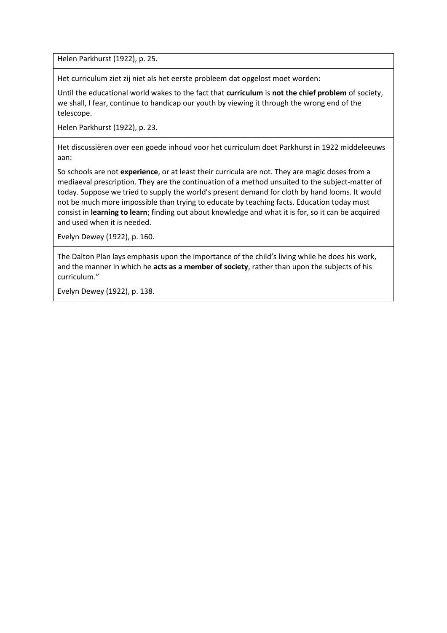Helen Parkhurst (1922), p. 25.

Het curriculum ziet zij niet als het eerste probleem dat opgelost moet worden:

Until the educational world wakes to the fact that **curriculum** is **not the chief problem** of society, we shall, I fear, continue to handicap our youth by viewing it through the wrong end of the telescope.

Helen Parkhurst (1922), p. 23.

Het discussiëren over een goede inhoud voor het curriculum doet Parkhurst in 1922 middeleeuws aan:

So schools are not **experience**, or at least their curricula are not. They are magic doses from a mediaeval prescription. They are the continuation of a method unsuited to the subject-matter of today. Suppose we tried to supply the world's present demand for cloth by hand looms. It would not be much more impossible than trying to educate by teaching facts. Education today must consist in **learning to learn**; finding out about knowledge and what it is for, so it can be acquired and used when it is needed.

Evelyn Dewey (1922), p. 160.

The Dalton Plan lays emphasis upon the importance of the child's living while he does his work, and the manner in which he **acts as a member of society**, rather than upon the subjects of his curriculum."

Evelyn Dewey (1922), p. 138.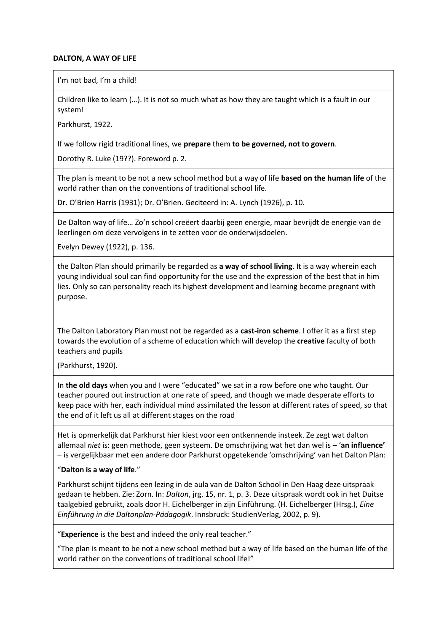## **DALTON, A WAY OF LIFE**

I'm not bad. I'm a child!

Children like to learn (…). It is not so much what as how they are taught which is a fault in our system!

Parkhurst, 1922.

If we follow rigid traditional lines, we **prepare** them **to be governed, not to govern**.

Dorothy R. Luke (19??). Foreword p. 2.

The plan is meant to be not a new school method but a way of life **based on the human life** of the world rather than on the conventions of traditional school life.

Dr. O'Brien Harris (1931); Dr. O'Brien. Geciteerd in: A. Lynch (1926), p. 10.

De Dalton way of life… Zo'n school creëert daarbij geen energie, maar bevrijdt de energie van de leerlingen om deze vervolgens in te zetten voor de onderwijsdoelen.

Evelyn Dewey (1922), p. 136.

the Dalton Plan should primarily be regarded as **a way of school living**. It is a way wherein each young individual soul can find opportunity for the use and the expression of the best that in him lies. Only so can personality reach its highest development and learning become pregnant with purpose.

The Dalton Laboratory Plan must not be regarded as a **cast-iron scheme**. I offer it as a first step towards the evolution of a scheme of education which will develop the **creative** faculty of both teachers and pupils

(Parkhurst, 1920).

In **the old days** when you and I were "educated" we sat in a row before one who taught. Our teacher poured out instruction at one rate of speed, and though we made desperate efforts to keep pace with her, each individual mind assimilated the lesson at different rates of speed, so that the end of it left us all at different stages on the road

Het is opmerkelijk dat Parkhurst hier kiest voor een ontkennende insteek. Ze zegt wat dalton allemaal *niet* is: geen methode, geen systeem. De omschrijving wat het dan wel is – '**an influence'** – is vergelijkbaar met een andere door Parkhurst opgetekende 'omschrijving' van het Dalton Plan:

### "**Dalton is a way of life**."

Parkhurst schijnt tijdens een lezing in de aula van de Dalton School in Den Haag deze uitspraak gedaan te hebben. Zie: Zorn. In: *Dalton*, jrg. 15, nr. 1, p. 3. Deze uitspraak wordt ook in het Duitse taalgebied gebruikt, zoals door H. Eichelberger in zijn Einführung. (H. Eichelberger (Hrsg.), *Eine Einführung in die Daltonplan-Pädagogik*. Innsbruck: StudienVerlag, 2002, p. 9).

"**Experience** is the best and indeed the only real teacher."

"The plan is meant to be not a new school method but a way of life based on the human life of the world rather on the conventions of traditional school life!"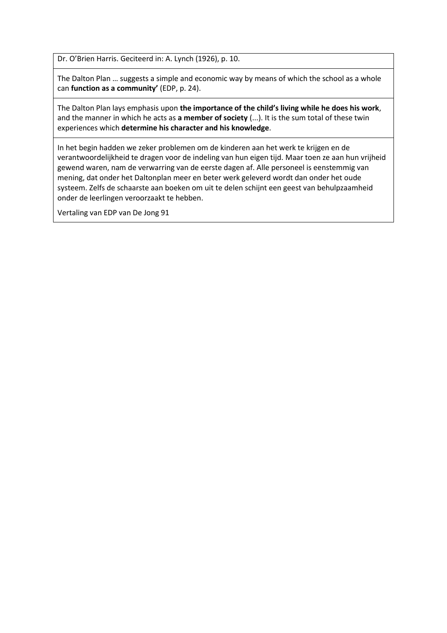Dr. O'Brien Harris. Geciteerd in: A. Lynch (1926), p. 10.

The Dalton Plan … suggests a simple and economic way by means of which the school as a whole can **function as a community'** (EDP, p. 24).

The Dalton Plan lays emphasis upon **the importance of the child's living while he does his work**, and the manner in which he acts as **a member of society** (...). It is the sum total of these twin experiences which **determine his character and his knowledge**.

In het begin hadden we zeker problemen om de kinderen aan het werk te krijgen en de verantwoordelijkheid te dragen voor de indeling van hun eigen tijd. Maar toen ze aan hun vrijheid gewend waren, nam de verwarring van de eerste dagen af. Alle personeel is eenstemmig van mening, dat onder het Daltonplan meer en beter werk geleverd wordt dan onder het oude systeem. Zelfs de schaarste aan boeken om uit te delen schijnt een geest van behulpzaamheid onder de leerlingen veroorzaakt te hebben.

Vertaling van EDP van De Jong 91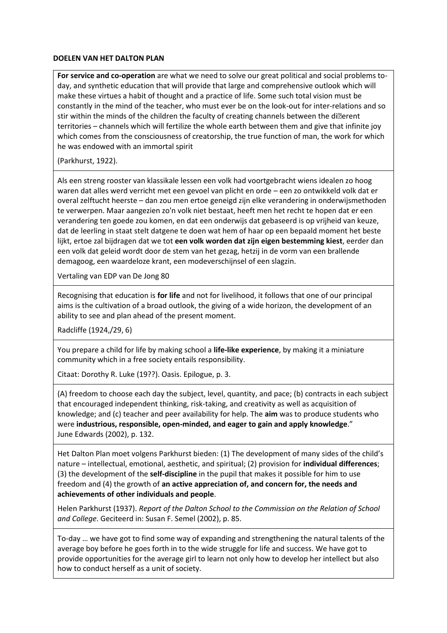#### **DOELEN VAN HET DALTON PLAN**

**For service and co-operation** are what we need to solve our great political and social problems today, and synthetic education that will provide that large and comprehensive outlook which will make these virtues a habit of thought and a practice of life. Some such total vision must be constantly in the mind of the teacher, who must ever be on the look-out for inter-relations and so stir within the minds of the children the faculty of creating channels between the di‰ent territories – channels which will fertilize the whole earth between them and give that infinite joy which comes from the consciousness of creatorship, the true function of man, the work for which he was endowed with an immortal spirit

(Parkhurst, 1922).

Als een streng rooster van klassikale lessen een volk had voortgebracht wiens idealen zo hoog waren dat alles werd verricht met een gevoel van plicht en orde – een zo ontwikkeld volk dat er overal zelftucht heerste – dan zou men ertoe geneigd zijn elke verandering in onderwijsmethoden te verwerpen. Maar aangezien zo'n volk niet bestaat, heeft men het recht te hopen dat er een verandering ten goede zou komen, en dat een onderwijs dat gebaseerd is op vrijheid van keuze, dat de leerling in staat stelt datgene te doen wat hem of haar op een bepaald moment het beste lijkt, ertoe zal bijdragen dat we tot **een volk worden dat zijn eigen bestemming kiest**, eerder dan een volk dat geleid wordt door de stem van het gezag, hetzij in de vorm van een brallende demagoog, een waardeloze krant, een modeverschijnsel of een slagzin.

Vertaling van EDP van De Jong 80

Recognising that education is **for life** and not for livelihood, it follows that one of our principal aims is the cultivation of a broad outlook, the giving of a wide horizon, the development of an ability to see and plan ahead of the present moment.

Radcliffe (1924,/29, 6)

You prepare a child for life by making school a **life-like experience**, by making it a miniature community which in a free society entails responsibility.

Citaat: Dorothy R. Luke (19??). Oasis. Epilogue, p. 3.

(A) freedom to choose each day the subject, level, quantity, and pace; (b) contracts in each subject that encouraged independent thinking, risk-taking, and creativity as well as acquisition of knowledge; and (c) teacher and peer availability for help. The **aim** was to produce students who were **industrious, responsible, open-minded, and eager to gain and apply knowledge**." June Edwards (2002), p. 132.

Het Dalton Plan moet volgens Parkhurst bieden: (1) The development of many sides of the child's nature – intellectual, emotional, aesthetic, and spiritual; (2) provision for **individual differences**; (3) the development of the **self-discipline** in the pupil that makes it possible for him to use freedom and (4) the growth of **an active appreciation of, and concern for, the needs and achievements of other individuals and people**.

Helen Parkhurst (1937). *Report of the Dalton School to the Commission on the Relation of School and College*. Geciteerd in: Susan F. Semel (2002), p. 85.

To-day … we have got to find some way of expanding and strengthening the natural talents of the average boy before he goes forth in to the wide struggle for life and success. We have got to provide opportunities for the average girl to learn not only how to develop her intellect but also how to conduct herself as a unit of society.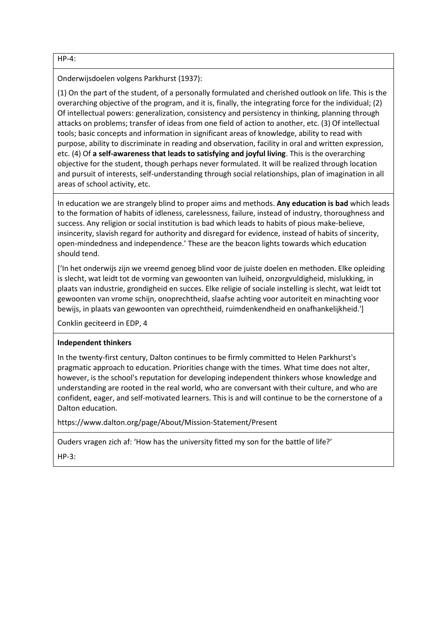HP-4:

Onderwijsdoelen volgens Parkhurst (1937):

(1) On the part of the student, of a personally formulated and cherished outlook on life. This is the overarching objective of the program, and it is, finally, the integrating force for the individual; (2) Of intellectual powers: generalization, consistency and persistency in thinking, planning through attacks on problems; transfer of ideas from one field of action to another, etc. (3) Of intellectual tools; basic concepts and information in significant areas of knowledge, ability to read with purpose, ability to discriminate in reading and observation, facility in oral and written expression, etc. (4) Of **a self-awareness that leads to satisfying and joyful living**. This is the overarching objective for the student, though perhaps never formulated. It will be realized through location and pursuit of interests, self-understanding through social relationships, plan of imagination in all areas of school activity, etc.

In education we are strangely blind to proper aims and methods. **Any education is bad** which leads to the formation of habits of idleness, carelessness, failure, instead of industry, thoroughness and success. Any religion or social institution is bad which leads to habits of pious make-believe, insincerity, slavish regard for authority and disregard for evidence, instead of habits of sincerity, open-mindedness and independence.' These are the beacon lights towards which education should tend.

['In het onderwijs zijn we vreemd genoeg blind voor de juiste doelen en methoden. Elke opleiding is slecht, wat leidt tot de vorming van gewoonten van luiheid, onzorgvuldigheid, mislukking, in plaats van industrie, grondigheid en succes. Elke religie of sociale instelling is slecht, wat leidt tot gewoonten van vrome schijn, onoprechtheid, slaafse achting voor autoriteit en minachting voor bewijs, in plaats van gewoonten van oprechtheid, ruimdenkendheid en onafhankelijkheid.']

Conklin geciteerd in EDP, 4

### **Independent thinkers**

In the twenty-first century, Dalton continues to be firmly committed to Helen Parkhurst's pragmatic approach to education. Priorities change with the times. What time does not alter, however, is the school's reputation for developing independent thinkers whose knowledge and understanding are rooted in the real world, who are conversant with their culture, and who are confident, eager, and self-motivated learners. This is and will continue to be the cornerstone of a Dalton education.

https://www.dalton.org/page/About/Mission-Statement/Present

Ouders vragen zich af: 'How has the university fitted my son for the battle of life?'

HP-3: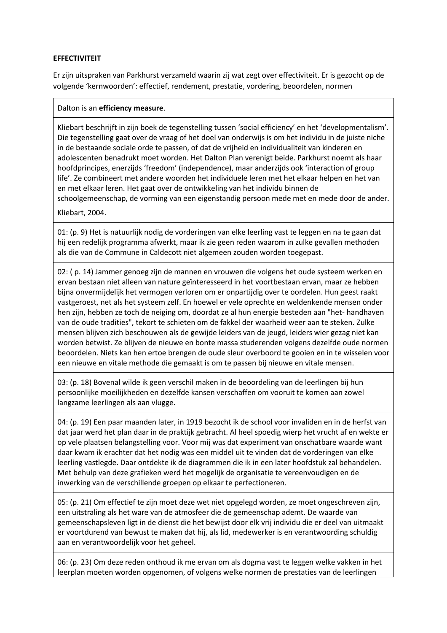## **EFFECTIVITEIT**

Er zijn uitspraken van Parkhurst verzameld waarin zij wat zegt over effectiviteit. Er is gezocht op de volgende 'kernwoorden': effectief, rendement, prestatie, vordering, beoordelen, normen

### Dalton is an **efficiency measure**.

Kliebart beschrijft in zijn boek de tegenstelling tussen 'social efficiency' en het 'developmentalism'. Die tegenstelling gaat over de vraag of het doel van onderwijs is om het individu in de juiste niche in de bestaande sociale orde te passen, of dat de vrijheid en individualiteit van kinderen en adolescenten benadrukt moet worden. Het Dalton Plan verenigt beide. Parkhurst noemt als haar hoofdprincipes, enerzijds 'freedom' (independence), maar anderzijds ook 'interaction of group life'. Ze combineert met andere woorden het individuele leren met het elkaar helpen en het van en met elkaar leren. Het gaat over de ontwikkeling van het individu binnen de schoolgemeenschap, de vorming van een eigenstandig persoon mede met en mede door de ander.

Kliebart, 2004.

01: (p. 9) Het is natuurlijk nodig de vorderingen van elke leerling vast te leggen en na te gaan dat hij een redelijk programma afwerkt, maar ik zie geen reden waarom in zulke gevallen methoden als die van de Commune in Caldecott niet algemeen zouden worden toegepast.

02: ( p. 14) Jammer genoeg zijn de mannen en vrouwen die volgens het oude systeem werken en ervan bestaan niet alleen van nature geïnteresseerd in het voortbestaan ervan, maar ze hebben bijna onvermijdelijk het vermogen verloren om er onpartijdig over te oordelen. Hun geest raakt vastgeroest, net als het systeem zelf. En hoewel er vele oprechte en weldenkende mensen onder hen zijn, hebben ze toch de neiging om, doordat ze al hun energie besteden aan "het- handhaven van de oude tradities", tekort te schieten om de fakkel der waarheid weer aan te steken. Zulke mensen blijven zich beschouwen als de gewijde leiders van de jeugd, leiders wier gezag niet kan worden betwist. Ze blijven de nieuwe en bonte massa studerenden volgens dezelfde oude normen beoordelen. Niets kan hen ertoe brengen de oude sleur overboord te gooien en in te wisselen voor een nieuwe en vitale methode die gemaakt is om te passen bij nieuwe en vitale mensen.

03: (p. 18) Bovenal wilde ik geen verschil maken in de beoordeling van de leerlingen bij hun persoonlijke moeilijkheden en dezelfde kansen verschaffen om vooruit te komen aan zowel langzame leerlingen als aan vlugge.

04: (p. 19) Een paar maanden later, in 1919 bezocht ik de school voor invaliden en in de herfst van dat jaar werd het plan daar in de praktijk gebracht. Al heel spoedig wierp het vrucht af en wekte er op vele plaatsen belangstelling voor. Voor mij was dat experiment van onschatbare waarde want daar kwam ik erachter dat het nodig was een middel uit te vinden dat de vorderingen van elke leerling vastlegde. Daar ontdekte ik de diagrammen die ik in een later hoofdstuk zal behandelen. Met behulp van deze grafieken werd het mogelijk de organisatie te vereenvoudigen en de inwerking van de verschillende groepen op elkaar te perfectioneren.

05: (p. 21) Om effectief te zijn moet deze wet niet opgelegd worden, ze moet ongeschreven zijn, een uitstraling als het ware van de atmosfeer die de gemeenschap ademt. De waarde van gemeenschapsleven ligt in de dienst die het bewijst door elk vrij individu die er deel van uitmaakt er voortdurend van bewust te maken dat hij, als lid, medewerker is en verantwoording schuldig aan en verantwoordelijk voor het geheel.

06: (p. 23) Om deze reden onthoud ik me ervan om als dogma vast te leggen welke vakken in het leerplan moeten worden opgenomen, of volgens welke normen de prestaties van de leerlingen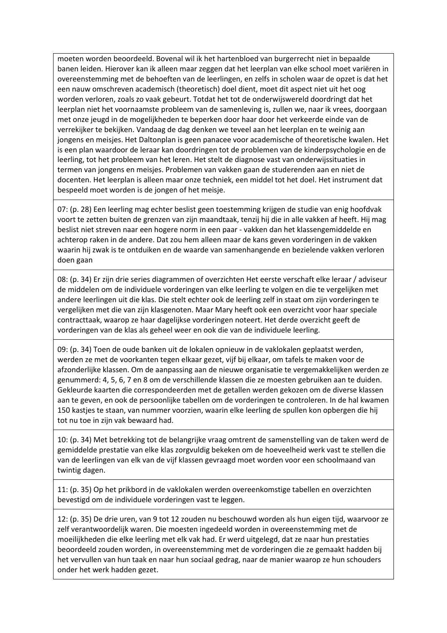moeten worden beoordeeld. Bovenal wil ik het hartenbloed van burgerrecht niet in bepaalde banen leiden. Hierover kan ik alleen maar zeggen dat het leerplan van elke school moet variëren in overeenstemming met de behoeften van de leerlingen, en zelfs in scholen waar de opzet is dat het een nauw omschreven academisch (theoretisch) doel dient, moet dit aspect niet uit het oog worden verloren, zoals zo vaak gebeurt. Totdat het tot de onderwijswereld doordringt dat het leerplan niet het voornaamste probleem van de samenleving is, zullen we, naar ik vrees, doorgaan met onze jeugd in de mogelijkheden te beperken door haar door het verkeerde einde van de verrekijker te bekijken. Vandaag de dag denken we teveel aan het leerplan en te weinig aan jongens en meisjes. Het Daltonplan is geen panacee voor academische of theoretische kwalen. Het is een plan waardoor de leraar kan doordringen tot de problemen van de kinderpsychologie en de leerling, tot het probleem van het leren. Het stelt de diagnose vast van onderwijssituaties in termen van jongens en meisjes. Problemen van vakken gaan de studerenden aan en niet de docenten. Het leerplan is alleen maar onze techniek, een middel tot het doel. Het instrument dat bespeeld moet worden is de jongen of het meisje.

07: (p. 28) Een leerling mag echter beslist geen toestemming krijgen de studie van enig hoofdvak voort te zetten buiten de grenzen van zijn maandtaak, tenzij hij die in alle vakken af heeft. Hij mag beslist niet streven naar een hogere norm in een paar - vakken dan het klassengemiddelde en achterop raken in de andere. Dat zou hem alleen maar de kans geven vorderingen in de vakken waarin hij zwak is te ontduiken en de waarde van samenhangende en bezielende vakken verloren doen gaan

08: (p. 34) Er zijn drie series diagrammen of overzichten Het eerste verschaft elke leraar / adviseur de middelen om de individuele vorderingen van elke leerling te volgen en die te vergelijken met andere leerlingen uit die klas. Die stelt echter ook de leerling zelf in staat om zijn vorderingen te vergelijken met die van zijn klasgenoten. Maar Mary heeft ook een overzicht voor haar speciale contracttaak, waarop ze haar dagelijkse vorderingen noteert. Het derde overzicht geeft de vorderingen van de klas als geheel weer en ook die van de individuele leerling.

09: (p. 34) Toen de oude banken uit de lokalen opnieuw in de vaklokalen geplaatst werden, werden ze met de voorkanten tegen elkaar gezet, vijf bij elkaar, om tafels te maken voor de afzonderlijke klassen. Om de aanpassing aan de nieuwe organisatie te vergemakkelijken werden ze genummerd: 4, 5, 6, 7 en 8 om de verschillende klassen die ze moesten gebruiken aan te duiden. Gekleurde kaarten die correspondeerden met de getallen werden gekozen om de diverse klassen aan te geven, en ook de persoonlijke tabellen om de vorderingen te controleren. In de hal kwamen 150 kastjes te staan, van nummer voorzien, waarin elke leerling de spullen kon opbergen die hij tot nu toe in zijn vak bewaard had.

10: (p. 34) Met betrekking tot de belangrijke vraag omtrent de samenstelling van de taken werd de gemiddelde prestatie van elke klas zorgvuldig bekeken om de hoeveelheid werk vast te stellen die van de leerlingen van elk van de vijf klassen gevraagd moet worden voor een schoolmaand van twintig dagen.

11: (p. 35) Op het prikbord in de vaklokalen werden overeenkomstige tabellen en overzichten bevestigd om de individuele vorderingen vast te leggen.

12: (p. 35) De drie uren, van 9 tot 12 zouden nu beschouwd worden als hun eigen tijd, waarvoor ze zelf verantwoordelijk waren. Die moesten ingedeeld worden in overeenstemming met de moeilijkheden die elke leerling met elk vak had. Er werd uitgelegd, dat ze naar hun prestaties beoordeeld zouden worden, in overeenstemming met de vorderingen die ze gemaakt hadden bij het vervullen van hun taak en naar hun sociaal gedrag, naar de manier waarop ze hun schouders onder het werk hadden gezet.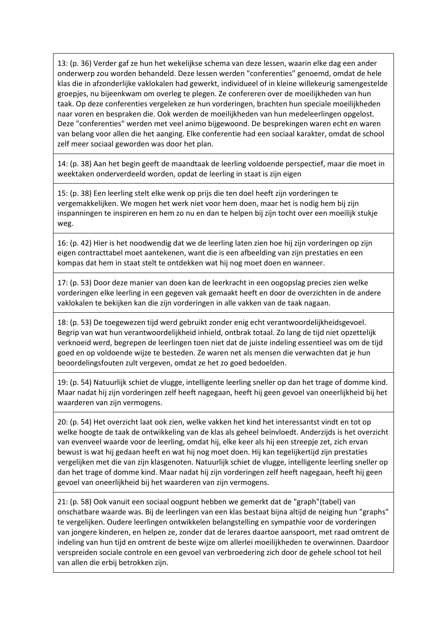13: (p. 36) Verder gaf ze hun het wekelijkse schema van deze lessen, waarin elke dag een ander onderwerp zou worden behandeld. Deze lessen werden "conferenties" genoemd, omdat de hele klas die in afzonderlijke vaklokalen had gewerkt, individueel of in kleine willekeurig samengestelde groepjes, nu bijeenkwam om overleg te plegen. Ze confereren over de moeilijkheden van hun taak. Op deze conferenties vergeleken ze hun vorderingen, brachten hun speciale moeilijkheden naar voren en bespraken die. Ook werden de moeilijkheden van hun medeleerlingen opgelost. Deze "conferenties" werden met veel animo bijgewoond. De besprekingen waren echt en waren van belang voor allen die het aanging. Elke conferentie had een sociaal karakter, omdat de school zelf meer sociaal geworden was door het plan.

14: (p. 38) Aan het begin geeft de maandtaak de leerling voldoende perspectief, maar die moet in weektaken onderverdeeld worden, opdat de leerling in staat is zijn eigen

15: (p. 38) Een leerling stelt elke wenk op prijs die ten doel heeft zijn vorderingen te vergemakkelijken. We mogen het werk niet voor hem doen, maar het is nodig hem bij zijn inspanningen te inspireren en hem zo nu en dan te helpen bij zijn tocht over een moeilijk stukje weg.

16: (p. 42) Hier is het noodwendig dat we de leerling laten zien hoe hij zijn vorderingen op zijn eigen contracttabel moet aantekenen, want die is een afbeelding van zijn prestaties en een kompas dat hem in staat stelt te ontdekken wat hij nog moet doen en wanneer.

17: (p. 53) Door deze manier van doen kan de leerkracht in een oogopslag precies zien welke vorderingen elke leerling in een gegeven vak gemaakt heeft en door de overzichten in de andere vaklokalen te bekijken kan die zijn vorderingen in alle vakken van de taak nagaan.

18: (p. 53) De toegewezen tijd werd gebruikt zonder enig echt verantwoordelijkheidsgevoel. Begrip van wat hun verantwoordelijkheid inhield, ontbrak totaal. Zo lang de tijd niet opzettelijk verknoeid werd, begrepen de leerlingen toen niet dat de juiste indeling essentieel was om de tijd goed en op voldoende wijze te besteden. Ze waren net als mensen die verwachten dat je hun beoordelingsfouten zult vergeven, omdat ze het zo goed bedoelden.

19: (p. 54) Natuurlijk schiet de vlugge, intelligente leerling sneller op dan het trage of domme kind. Maar nadat hij zijn vorderingen zelf heeft nagegaan, heeft hij geen gevoel van oneerlijkheid bij het waarderen van zijn vermogens.

20: (p. 54) Het overzicht laat ook zien, welke vakken het kind het interessantst vindt en tot op welke hoogte de taak de ontwikkeling van de klas als geheel beïnvloedt. Anderzijds is het overzicht van evenveel waarde voor de leerling, omdat hij, elke keer als hij een streepje zet, zich ervan bewust is wat hij gedaan heeft en wat hij nog moet doen. Hij kan tegelijkertijd zijn prestaties vergelijken met die van zijn klasgenoten. Natuurlijk schiet de vlugge, intelligente leerling sneller op dan het trage of domme kind. Maar nadat hij zijn vorderingen zelf heeft nagegaan, heeft hij geen gevoel van oneerlijkheid bij het waarderen van zijn vermogens.

21: (p. 58) Ook vanuit een sociaal oogpunt hebben we gemerkt dat de "graph"(tabel) van onschatbare waarde was. Bij de leerlingen van een klas bestaat bijna altijd de neiging hun "graphs" te vergelijken. Oudere leerlingen ontwikkelen belangstelling en sympathie voor de vorderingen van jongere kinderen, en helpen ze, zonder dat de lerares daartoe aanspoort, met raad omtrent de indeling van hun tijd en omtrent de beste wijze om allerlei moeilijkheden te overwinnen. Daardoor verspreiden sociale controle en een gevoel van verbroedering zich door de gehele school tot heil van allen die erbij betrokken zijn.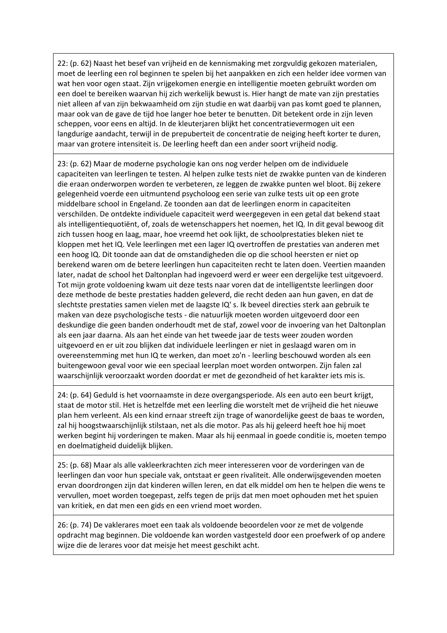22: (p. 62) Naast het besef van vrijheid en de kennismaking met zorgvuldig gekozen materialen, moet de leerling een rol beginnen te spelen bij het aanpakken en zich een helder idee vormen van wat hen voor ogen staat. Zijn vrijgekomen energie en intelligentie moeten gebruikt worden om een doel te bereiken waarvan hij zich werkelijk bewust is. Hier hangt de mate van zijn prestaties niet alleen af van zijn bekwaamheid om zijn studie en wat daarbij van pas komt goed te plannen, maar ook van de gave de tijd hoe langer hoe beter te benutten. Dit betekent orde in zijn leven scheppen, voor eens en altijd. In de kleuterjaren blijkt het concentratievermogen uit een langdurige aandacht, terwijl in de prepuberteit de concentratie de neiging heeft korter te duren, maar van grotere intensiteit is. De leerling heeft dan een ander soort vrijheid nodig.

23: (p. 62) Maar de moderne psychologie kan ons nog verder helpen om de individuele capaciteiten van leerlingen te testen. Al helpen zulke tests niet de zwakke punten van de kinderen die eraan onderworpen worden te verbeteren, ze leggen de zwakke punten wel bloot. Bij zekere gelegenheid voerde een uitmuntend psycholoog een serie van zulke tests uit op een grote middelbare school in Engeland. Ze toonden aan dat de leerlingen enorm in capaciteiten verschilden. De ontdekte individuele capaciteit werd weergegeven in een getal dat bekend staat als intelligentiequotiënt, of, zoals de wetenschappers het noemen, het IQ. In dit geval bewoog dit zich tussen hoog en laag, maar, hoe vreemd het ook lijkt, de schoolprestaties bleken niet te kloppen met het IQ. Vele leerlingen met een lager IQ overtroffen de prestaties van anderen met een hoog IQ. Dit toonde aan dat de omstandigheden die op die school heersten er niet op berekend waren om de betere leerlingen hun capaciteiten recht te laten doen. Veertien maanden later, nadat de school het Daltonplan had ingevoerd werd er weer een dergelijke test uitgevoerd. Tot mijn grote voldoening kwam uit deze tests naar voren dat de intelligentste leerlingen door deze methode de beste prestaties hadden geleverd, die recht deden aan hun gaven, en dat de slechtste prestaties samen vielen met de laagste IQ' s. Ik beveel directies sterk aan gebruik te maken van deze psychologische tests - die natuurlijk moeten worden uitgevoerd door een deskundige die geen banden onderhoudt met de staf, zowel voor de invoering van het Daltonplan als een jaar daarna. Als aan het einde van het tweede jaar de tests weer zouden worden uitgevoerd en er uit zou blijken dat individuele leerlingen er niet in geslaagd waren om in overeenstemming met hun IQ te werken, dan moet zo'n - leerling beschouwd worden als een buitengewoon geval voor wie een speciaal leerplan moet worden ontworpen. Zijn falen zal waarschijnlijk veroorzaakt worden doordat er met de gezondheid of het karakter iets mis is.

24: (p. 64) Geduld is het voornaamste in deze overgangsperiode. Als een auto een beurt krijgt, staat de motor stil. Het is hetzelfde met een leerling die worstelt met de vrijheid die het nieuwe plan hem verleent. Als een kind ernaar streeft zijn trage of wanordelijke geest de baas te worden, zal hij hoogstwaarschijnlijk stilstaan, net als die motor. Pas als hij geleerd heeft hoe hij moet werken begint hij vorderingen te maken. Maar als hij eenmaal in goede conditie is, moeten tempo en doelmatigheid duidelijk blijken.

25: (p. 68) Maar als alle vakleerkrachten zich meer interesseren voor de vorderingen van de leerlingen dan voor hun speciale vak, ontstaat er geen rivaliteit. Alle onderwijsgevenden moeten ervan doordrongen zijn dat kinderen willen leren, en dat elk middel om hen te helpen die wens te vervullen, moet worden toegepast, zelfs tegen de prijs dat men moet ophouden met het spuien van kritiek, en dat men een gids en een vriend moet worden.

26: (p. 74) De vaklerares moet een taak als voldoende beoordelen voor ze met de volgende opdracht mag beginnen. Die voldoende kan worden vastgesteld door een proefwerk of op andere wijze die de lerares voor dat meisje het meest geschikt acht.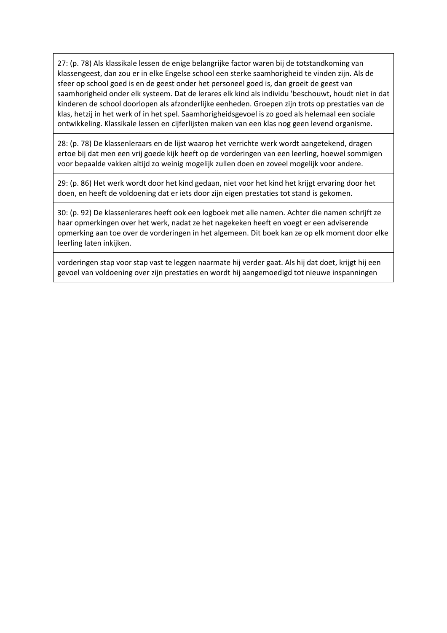27: (p. 78) Als klassikale lessen de enige belangrijke factor waren bij de totstandkoming van klassengeest, dan zou er in elke Engelse school een sterke saamhorigheid te vinden zijn. Als de sfeer op school goed is en de geest onder het personeel goed is, dan groeit de geest van saamhorigheid onder elk systeem. Dat de lerares elk kind als individu 'beschouwt, houdt niet in dat kinderen de school doorlopen als afzonderlijke eenheden. Groepen zijn trots op prestaties van de klas, hetzij in het werk of in het spel. Saamhorigheidsgevoel is zo goed als helemaal een sociale ontwikkeling. Klassikale lessen en cijferlijsten maken van een klas nog geen levend organisme.

28: (p. 78) De klassenleraars en de lijst waarop het verrichte werk wordt aangetekend, dragen ertoe bij dat men een vrij goede kijk heeft op de vorderingen van een leerling, hoewel sommigen voor bepaalde vakken altijd zo weinig mogelijk zullen doen en zoveel mogelijk voor andere.

29: (p. 86) Het werk wordt door het kind gedaan, niet voor het kind het krijgt ervaring door het doen, en heeft de voldoening dat er iets door zijn eigen prestaties tot stand is gekomen.

30: (p. 92) De klassenlerares heeft ook een logboek met alle namen. Achter die namen schrijft ze haar opmerkingen over het werk, nadat ze het nagekeken heeft en voegt er een adviserende opmerking aan toe over de vorderingen in het algemeen. Dit boek kan ze op elk moment door elke leerling laten inkijken.

vorderingen stap voor stap vast te leggen naarmate hij verder gaat. Als hij dat doet, krijgt hij een gevoel van voldoening over zijn prestaties en wordt hij aangemoedigd tot nieuwe inspanningen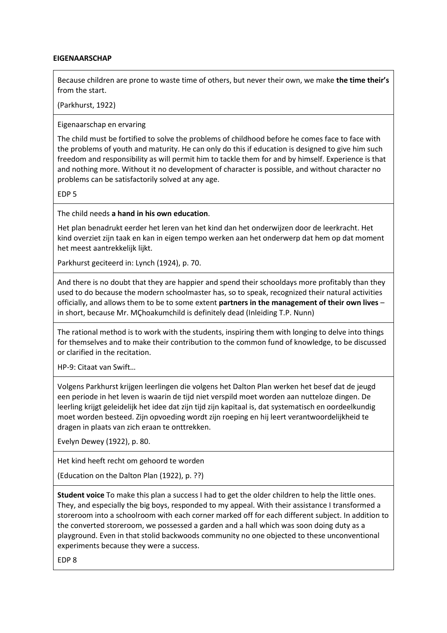### **EIGENAARSCHAP**

Because children are prone to waste time of others, but never their own, we make **the time their's** from the start.

(Parkhurst, 1922)

Eigenaarschap en ervaring

The child must be fortified to solve the problems of childhood before he comes face to face with the problems of youth and maturity. He can only do this if education is designed to give him such freedom and responsibility as will permit him to tackle them for and by himself. Experience is that and nothing more. Without it no development of character is possible, and without character no problems can be satisfactorily solved at any age.

EDP 5

The child needs **a hand in his own education**.

Het plan benadrukt eerder het leren van het kind dan het onderwijzen door de leerkracht. Het kind overziet zijn taak en kan in eigen tempo werken aan het onderwerp dat hem op dat moment het meest aantrekkelijk lijkt.

Parkhurst geciteerd in: Lynch (1924), p. 70.

And there is no doubt that they are happier and spend their schooldays more profitably than they used to do because the modern schoolmaster has, so to speak, recognized their natural activities officially, and allows them to be to some extent **partners in the management of their own lives** – in short, because Mr. MÇhoakumchild is definitely dead (Inleiding T.P. Nunn)

The rational method is to work with the students, inspiring them with longing to delve into things for themselves and to make their contribution to the common fund of knowledge, to be discussed or clarified in the recitation.

HP-9: Citaat van Swift…

Volgens Parkhurst krijgen leerlingen die volgens het Dalton Plan werken het besef dat de jeugd een periode in het leven is waarin de tijd niet verspild moet worden aan nutteloze dingen. De leerling krijgt geleidelijk het idee dat zijn tijd zijn kapitaal is, dat systematisch en oordeelkundig moet worden besteed. Zijn opvoeding wordt zijn roeping en hij leert verantwoordelijkheid te dragen in plaats van zich eraan te onttrekken.

Evelyn Dewey (1922), p. 80.

Het kind heeft recht om gehoord te worden

(Education on the Dalton Plan (1922), p. ??)

**Student voice** To make this plan a success I had to get the older children to help the little ones. They, and especially the big boys, responded to my appeal. With their assistance I transformed a storeroom into a schoolroom with each corner marked off for each different subject. In addition to the converted storeroom, we possessed a garden and a hall which was soon doing duty as a playground. Even in that stolid backwoods community no one objected to these unconventional experiments because they were a success.

EDP 8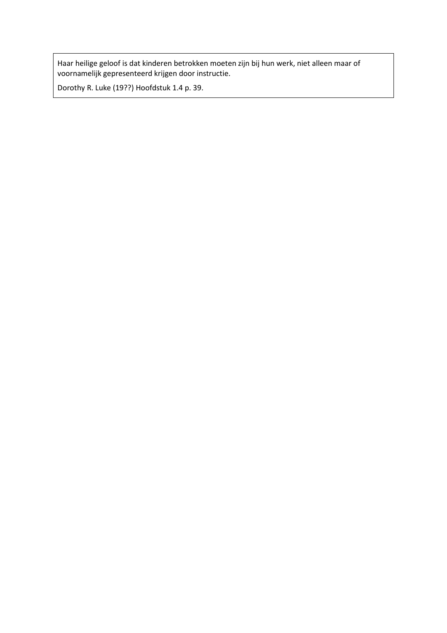Haar heilige geloof is dat kinderen betrokken moeten zijn bij hun werk, niet alleen maar of voornamelijk gepresenteerd krijgen door instructie.

Dorothy R. Luke (19??) Hoofdstuk 1.4 p. 39.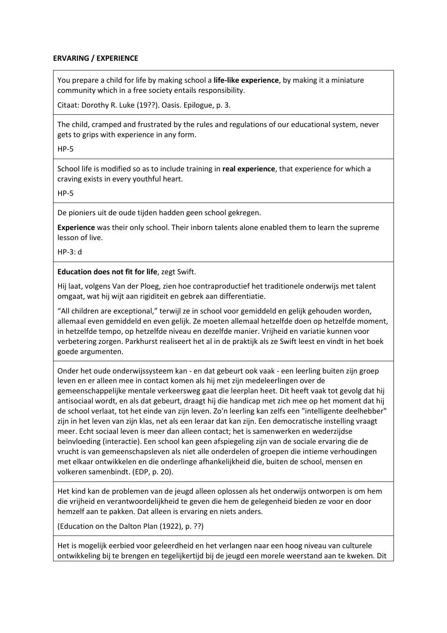## **ERVARING / EXPERIENCE**

You prepare a child for life by making school a **life-like experience**, by making it a miniature community which in a free society entails responsibility.

Citaat: Dorothy R. Luke (19??). Oasis. Epilogue, p. 3.

The child, cramped and frustrated by the rules and regulations of our educational system, never gets to grips with experience in any form.

HP-5

School life is modified so as to include training in **real experience**, that experience for which a craving exists in every youthful heart.

HP-5

De pioniers uit de oude tijden hadden geen school gekregen.

**Experience** was their only school. Their inborn talents alone enabled them to learn the supreme lesson of live.

HP-3: d

**Education does not fit for life**, zegt Swift.

Hij laat, volgens Van der Ploeg, zien hoe contraproductief het traditionele onderwijs met talent omgaat, wat hij wijt aan rigiditeit en gebrek aan differentiatie.

"All children are exceptional," terwijl ze in school voor gemiddeld en gelijk gehouden worden, allemaal even gemiddeld en even gelijk. Ze moeten allemaal hetzelfde doen op hetzelfde moment, in hetzelfde tempo, op hetzelfde niveau en dezelfde manier. Vrijheid en variatie kunnen voor verbetering zorgen. Parkhurst realiseert het al in de praktijk als ze Swift leest en vindt in het boek goede argumenten.

Onder het oude onderwijssysteem kan - en dat gebeurt ook vaak - een leerling buiten zijn groep leven en er alleen mee in contact komen als hij met zijn medeleerlingen over de gemeenschappelijke mentale verkeersweg gaat die leerplan heet. Dit heeft vaak tot gevolg dat hij antisociaal wordt, en als dat gebeurt, draagt hij die handicap met zich mee op het moment dat hij de school verlaat, tot het einde van zijn leven. Zo'n leerling kan zelfs een "intelligente deelhebber" zijn in het leven van zijn klas, net als een leraar dat kan zijn. Een democratische instelling vraagt meer. Echt sociaal leven is meer dan alleen contact; het is samenwerken en wederzijdse beïnvloeding (interactie). Een school kan geen afspiegeling zijn van de sociale ervaring die de vrucht is van gemeenschapsleven als niet alle onderdelen of groepen die intieme verhoudingen met elkaar ontwikkelen en die onderlinge afhankelijkheid die, buiten de school, mensen en volkeren samenbindt. (EDP, p. 20).

Het kind kan de problemen van de jeugd alleen oplossen als het onderwijs ontworpen is om hem die vrijheid en verantwoordelijkheid te geven die hem de gelegenheid bieden ze voor en door hemzelf aan te pakken. Dat alleen is ervaring en niets anders.

(Education on the Dalton Plan (1922), p. ??)

Het is mogelijk eerbied voor geleerdheid en het verlangen naar een hoog niveau van culturele ontwikkeling bij te brengen en tegelijkertijd bij de jeugd een morele weerstand aan te kweken. Dit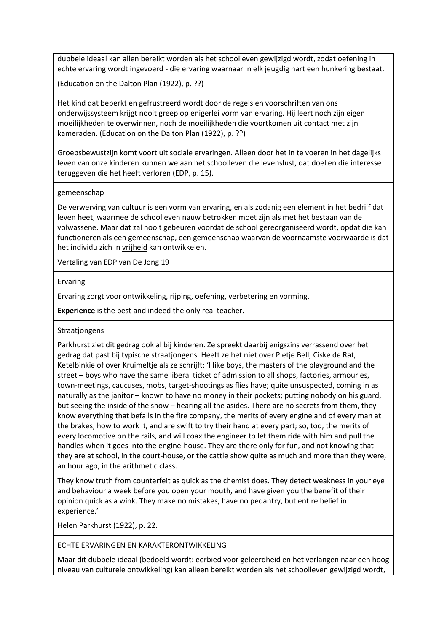dubbele ideaal kan allen bereikt worden als het schoolleven gewijzigd wordt, zodat oefening in echte ervaring wordt ingevoerd - die ervaring waarnaar in elk jeugdig hart een hunkering bestaat.

(Education on the Dalton Plan (1922), p. ??)

Het kind dat beperkt en gefrustreerd wordt door de regels en voorschriften van ons onderwijssysteem krijgt nooit greep op enigerlei vorm van ervaring. Hij leert noch zijn eigen moeilijkheden te overwinnen, noch de moeilijkheden die voortkomen uit contact met zijn kameraden. (Education on the Dalton Plan (1922), p. ??)

Groepsbewustzijn komt voort uit sociale ervaringen. Alleen door het in te voeren in het dagelijks leven van onze kinderen kunnen we aan het schoolleven die levenslust, dat doel en die interesse teruggeven die het heeft verloren (EDP, p. 15).

## gemeenschap

De verwerving van cultuur is een vorm van ervaring, en als zodanig een element in het bedrijf dat leven heet, waarmee de school even nauw betrokken moet zijn als met het bestaan van de volwassene. Maar dat zal nooit gebeuren voordat de school gereorganiseerd wordt, opdat die kan functioneren als een gemeenschap, een gemeenschap waarvan de voornaamste voorwaarde is dat het individu zich in vrijheid kan ontwikkelen.

Vertaling van EDP van De Jong 19

## Ervaring

Ervaring zorgt voor ontwikkeling, rijping, oefening, verbetering en vorming.

**Experience** is the best and indeed the only real teacher.

### Straatjongens

Parkhurst ziet dit gedrag ook al bij kinderen. Ze spreekt daarbij enigszins verrassend over het gedrag dat past bij typische straatjongens. Heeft ze het niet over Pietje Bell, Ciske de Rat, Ketelbinkie of over Kruimeltje als ze schrijft: 'I like boys, the masters of the playground and the street – boys who have the same liberal ticket of admission to all shops, factories, armouries, town-meetings, caucuses, mobs, target-shootings as flies have; quite unsuspected, coming in as naturally as the janitor – known to have no money in their pockets; putting nobody on his guard, but seeing the inside of the show – hearing all the asides. There are no secrets from them, they know everything that befalls in the fire company, the merits of every engine and of every man at the brakes, how to work it, and are swift to try their hand at every part; so, too, the merits of every locomotive on the rails, and will coax the engineer to let them ride with him and pull the handles when it goes into the engine-house. They are there only for fun, and not knowing that they are at school, in the court-house, or the cattle show quite as much and more than they were, an hour ago, in the arithmetic class.

They know truth from counterfeit as quick as the chemist does. They detect weakness in your eye and behaviour a week before you open your mouth, and have given you the benefit of their opinion quick as a wink. They make no mistakes, have no pedantry, but entire belief in experience.'

Helen Parkhurst (1922), p. 22.

# ECHTE ERVARINGEN EN KARAKTERONTWIKKELING

Maar dit dubbele ideaal (bedoeld wordt: eerbied voor geleerdheid en het verlangen naar een hoog niveau van culturele ontwikkeling) kan alleen bereikt worden als het schoolleven gewijzigd wordt,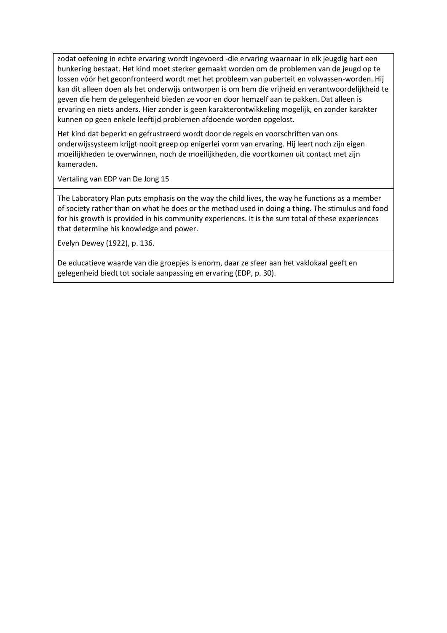zodat oefening in echte ervaring wordt ingevoerd -die ervaring waarnaar in elk jeugdig hart een hunkering bestaat. Het kind moet sterker gemaakt worden om de problemen van de jeugd op te lossen vóór het geconfronteerd wordt met het probleem van puberteit en volwassen-worden. Hij kan dit alleen doen als het onderwijs ontworpen is om hem die vrijheid en verantwoordelijkheid te geven die hem de gelegenheid bieden ze voor en door hemzelf aan te pakken. Dat alleen is ervaring en niets anders. Hier zonder is geen karakterontwikkeling mogelijk, en zonder karakter kunnen op geen enkele leeftijd problemen afdoende worden opgelost.

Het kind dat beperkt en gefrustreerd wordt door de regels en voorschriften van ons onderwijssysteem krijgt nooit greep op enigerlei vorm van ervaring. Hij leert noch zijn eigen moeilijkheden te overwinnen, noch de moeilijkheden, die voortkomen uit contact met zijn kameraden.

Vertaling van EDP van De Jong 15

The Laboratory Plan puts emphasis on the way the child lives, the way he functions as a member of society rather than on what he does or the method used in doing a thing. The stimulus and food for his growth is provided in his community experiences. It is the sum total of these experiences that determine his knowledge and power.

Evelyn Dewey (1922), p. 136.

De educatieve waarde van die groepjes is enorm, daar ze sfeer aan het vaklokaal geeft en gelegenheid biedt tot sociale aanpassing en ervaring (EDP, p. 30).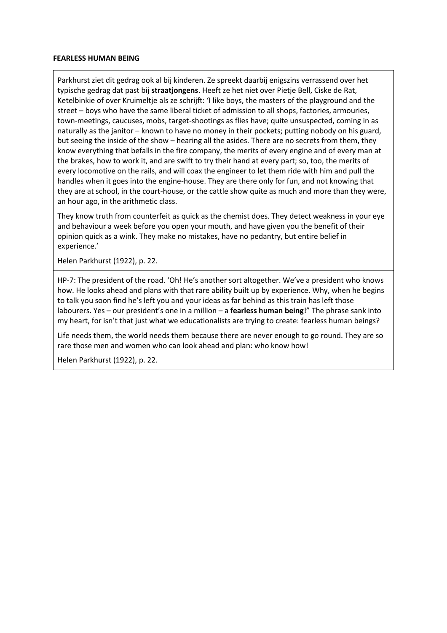#### **FEARLESS HUMAN BEING**

Parkhurst ziet dit gedrag ook al bij kinderen. Ze spreekt daarbij enigszins verrassend over het typische gedrag dat past bij **straatjongens**. Heeft ze het niet over Pietje Bell, Ciske de Rat, Ketelbinkie of over Kruimeltje als ze schrijft: 'I like boys, the masters of the playground and the street – boys who have the same liberal ticket of admission to all shops, factories, armouries, town-meetings, caucuses, mobs, target-shootings as flies have; quite unsuspected, coming in as naturally as the janitor – known to have no money in their pockets; putting nobody on his guard, but seeing the inside of the show – hearing all the asides. There are no secrets from them, they know everything that befalls in the fire company, the merits of every engine and of every man at the brakes, how to work it, and are swift to try their hand at every part; so, too, the merits of every locomotive on the rails, and will coax the engineer to let them ride with him and pull the handles when it goes into the engine-house. They are there only for fun, and not knowing that they are at school, in the court-house, or the cattle show quite as much and more than they were, an hour ago, in the arithmetic class.

They know truth from counterfeit as quick as the chemist does. They detect weakness in your eye and behaviour a week before you open your mouth, and have given you the benefit of their opinion quick as a wink. They make no mistakes, have no pedantry, but entire belief in experience.'

Helen Parkhurst (1922), p. 22.

HP-7: The president of the road. 'Oh! He's another sort altogether. We've a president who knows how. He looks ahead and plans with that rare ability built up by experience. Why, when he begins to talk you soon find he's left you and your ideas as far behind as this train has left those labourers. Yes – our president's one in a million – a **fearless human being**!" The phrase sank into my heart, for isn't that just what we educationalists are trying to create: fearless human beings?

Life needs them, the world needs them because there are never enough to go round. They are so rare those men and women who can look ahead and plan: who know how!

Helen Parkhurst (1922), p. 22.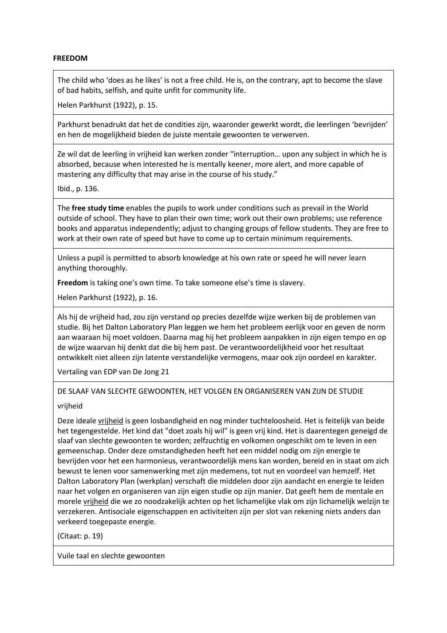### **FREEDOM**

The child who 'does as he likes' is not a free child. He is, on the contrary, apt to become the slave of bad habits, selfish, and quite unfit for community life.

Helen Parkhurst (1922), p. 15.

Parkhurst benadrukt dat het de condities zijn, waaronder gewerkt wordt, die leerlingen 'bevrijden' en hen de mogelijkheid bieden de juiste mentale gewoonten te verwerven.

Ze wil dat de leerling in vrijheid kan werken zonder "interruption… upon any subject in which he is absorbed, because when interested he is mentally keener, more alert, and more capable of mastering any difficulty that may arise in the course of his study."

Ibid., p. 136.

The **free study time** enables the pupils to work under conditions such as prevail in the World outside of school. They have to plan their own time; work out their own problems; use reference books and apparatus independently; adjust to changing groups of fellow students. They are free to work at their own rate of speed but have to come up to certain minimum requirements.

Unless a pupil is permitted to absorb knowledge at his own rate or speed he will never learn anything thoroughly.

**Freedom** is taking one's own time. To take someone else's time is slavery.

Helen Parkhurst (1922), p. 16.

Als hij de vrijheid had, zou zijn verstand op precies dezelfde wijze werken bij de problemen van studie. Bij het Dalton Laboratory Plan leggen we hem het probleem eerlijk voor en geven de norm aan waaraan hij moet voldoen. Daarna mag hij het probleem aanpakken in zijn eigen tempo en op de wijze waarvan hij denkt dat die bij hem past. De verantwoordelijkheid voor het resultaat ontwikkelt niet alleen zijn latente verstandelijke vermogens, maar ook zijn oordeel en karakter.

Vertaling van EDP van De Jong 21

### DE SLAAF VAN SLECHTE GEWOONTEN, HET VOLGEN EN ORGANISEREN VAN ZIJN DE STUDIE

vrijheid

Deze ideale vrijheid is geen losbandigheid en nog minder tuchteloosheid. Het is feitelijk van beide het tegengestelde. Het kind dat "doet zoals hij wil" is geen vrij kind. Het is daarentegen geneigd de slaaf van slechte gewoonten te worden; zelfzuchtig en volkomen ongeschikt om te leven in een gemeenschap. Onder deze omstandigheden heeft het een middel nodig om zijn energie te bevrijden voor het een harmonieus, verantwoordelijk mens kan worden, bereid en in staat om zich bewust te lenen voor samenwerking met zijn medemens, tot nut en voordeel van hemzelf. Het Dalton Laboratory Plan (werkplan) verschaft die middelen door zijn aandacht en energie te leiden naar het volgen en organiseren van zijn eigen studie op zijn manier. Dat geeft hem de mentale en morele vrijheid die we zo noodzakelijk achten op het lichamelijke vlak om zijn lichamelijk welzijn te verzekeren. Antisociale eigenschappen en activiteiten zijn per slot van rekening niets anders dan verkeerd toegepaste energie.

(Citaat: p. 19)

Vuile taal en slechte gewoonten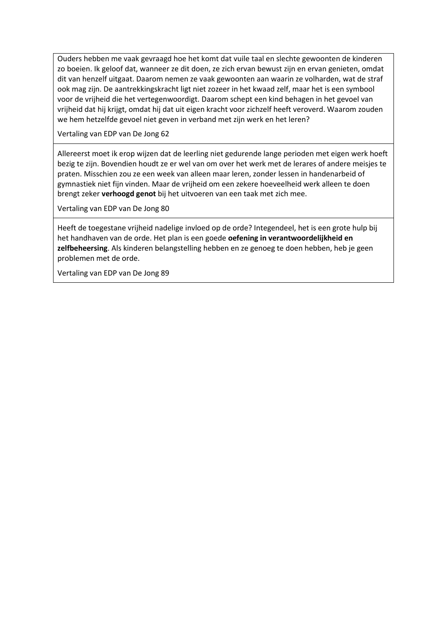Ouders hebben me vaak gevraagd hoe het komt dat vuile taal en slechte gewoonten de kinderen zo boeien. Ik geloof dat, wanneer ze dit doen, ze zich ervan bewust zijn en ervan genieten, omdat dit van henzelf uitgaat. Daarom nemen ze vaak gewoonten aan waarin ze volharden, wat de straf ook mag zijn. De aantrekkingskracht ligt niet zozeer in het kwaad zelf, maar het is een symbool voor de vrijheid die het vertegenwoordigt. Daarom schept een kind behagen in het gevoel van vrijheid dat hij krijgt, omdat hij dat uit eigen kracht voor zichzelf heeft veroverd. Waarom zouden we hem hetzelfde gevoel niet geven in verband met zijn werk en het leren?

Vertaling van EDP van De Jong 62

Allereerst moet ik erop wijzen dat de leerling niet gedurende lange perioden met eigen werk hoeft bezig te zijn. Bovendien houdt ze er wel van om over het werk met de lerares of andere meisjes te praten. Misschien zou ze een week van alleen maar leren, zonder lessen in handenarbeid of gymnastiek niet fijn vinden. Maar de vrijheid om een zekere hoeveelheid werk alleen te doen brengt zeker **verhoogd genot** bij het uitvoeren van een taak met zich mee.

Vertaling van EDP van De Jong 80

Heeft de toegestane vrijheid nadelige invloed op de orde? Integendeel, het is een grote hulp bij het handhaven van de orde. Het plan is een goede **oefening in verantwoordelijkheid en zelfbeheersing**. Als kinderen belangstelling hebben en ze genoeg te doen hebben, heb je geen problemen met de orde.

Vertaling van EDP van De Jong 89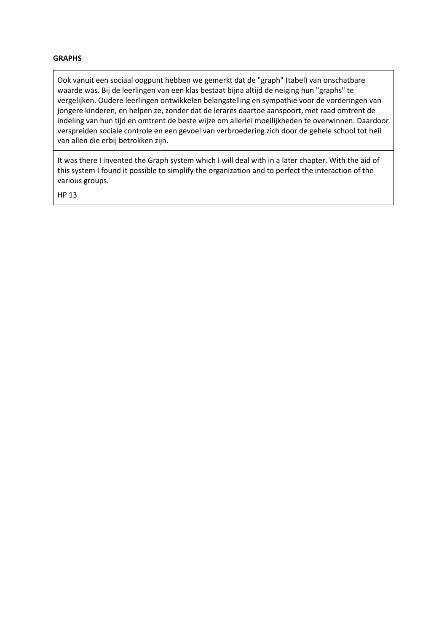### **GRAPHS**

Ook vanuit een sociaal oogpunt hebben we gemerkt dat de "graph" (tabel) van onschatbare waarde was. Bij de leerlingen van een klas bestaat bijna altijd de neiging hun "graphs" te vergelijken. Oudere leerlingen ontwikkelen belangstelling en sympathie voor de vorderingen van jongere kinderen, en helpen ze, zonder dat de lerares daartoe aanspoort, met raad omtrent de indeling van hun tijd en omtrent de beste wijze om allerlei moeilijkheden te overwinnen. Daardoor verspreiden sociale controle en een gevoel van verbroedering zich door de gehele school tot heil van allen die erbij betrokken zijn.

It was there I invented the Graph system which I will deal with in a later chapter. With the aid of this system I found it possible to simplify the organization and to perfect the interaction of the various groups.

HP 13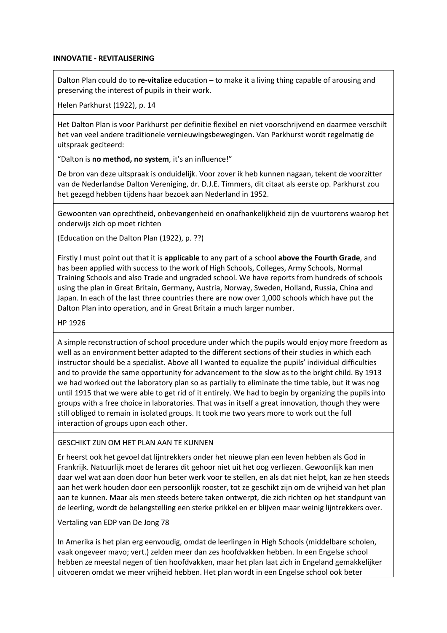### **INNOVATIE - REVITALISERING**

Dalton Plan could do to **re-vitalize** education – to make it a living thing capable of arousing and preserving the interest of pupils in their work.

Helen Parkhurst (1922), p. 14

Het Dalton Plan is voor Parkhurst per definitie flexibel en niet voorschrijvend en daarmee verschilt het van veel andere traditionele vernieuwingsbewegingen. Van Parkhurst wordt regelmatig de uitspraak geciteerd:

"Dalton is **no method, no system**, it's an influence!"

De bron van deze uitspraak is onduidelijk. Voor zover ik heb kunnen nagaan, tekent de voorzitter van de Nederlandse Dalton Vereniging, dr. D.J.E. Timmers, dit citaat als eerste op. Parkhurst zou het gezegd hebben tijdens haar bezoek aan Nederland in 1952.

Gewoonten van oprechtheid, onbevangenheid en onafhankelijkheid zijn de vuurtorens waarop het onderwijs zich op moet richten

(Education on the Dalton Plan (1922), p. ??)

Firstly I must point out that it is **applicable** to any part of a school **above the Fourth Grade**, and has been applied with success to the work of High Schools, Colleges, Army Schools, Normal Training Schools and also Trade and ungraded school. We have reports from hundreds of schools using the plan in Great Britain, Germany, Austria, Norway, Sweden, Holland, Russia, China and Japan. In each of the last three countries there are now over 1,000 schools which have put the Dalton Plan into operation, and in Great Britain a much larger number.

HP 1926

A simple reconstruction of school procedure under which the pupils would enjoy more freedom as well as an environment better adapted to the different sections of their studies in which each instructor should be a specialist. Above all I wanted to equalize the pupils' individual difficulties and to provide the same opportunity for advancement to the slow as to the bright child. By 1913 we had worked out the laboratory plan so as partially to eliminate the time table, but it was nog until 1915 that we were able to get rid of it entirely. We had to begin by organizing the pupils into groups with a free choice in laboratories. That was in itself a great innovation, though they were still obliged to remain in isolated groups. It took me two years more to work out the full interaction of groups upon each other.

#### GESCHIKT ZIJN OM HET PLAN AAN TE KUNNEN

Er heerst ook het gevoel dat lijntrekkers onder het nieuwe plan een leven hebben als God in Frankrijk. Natuurlijk moet de lerares dit gehoor niet uit het oog verliezen. Gewoonlijk kan men daar wel wat aan doen door hun beter werk voor te stellen, en als dat niet helpt, kan ze hen steeds aan het werk houden door een persoonlijk rooster, tot ze geschikt zijn om de vrijheid van het plan aan te kunnen. Maar als men steeds betere taken ontwerpt, die zich richten op het standpunt van de leerling, wordt de belangstelling een sterke prikkel en er blijven maar weinig lijntrekkers over.

Vertaling van EDP van De Jong 78

In Amerika is het plan erg eenvoudig, omdat de leerlingen in High Schools (middelbare scholen, vaak ongeveer mavo; vert.) zelden meer dan zes hoofdvakken hebben. In een Engelse school hebben ze meestal negen of tien hoofdvakken, maar het plan laat zich in Engeland gemakkelijker uitvoeren omdat we meer vrijheid hebben. Het plan wordt in een Engelse school ook beter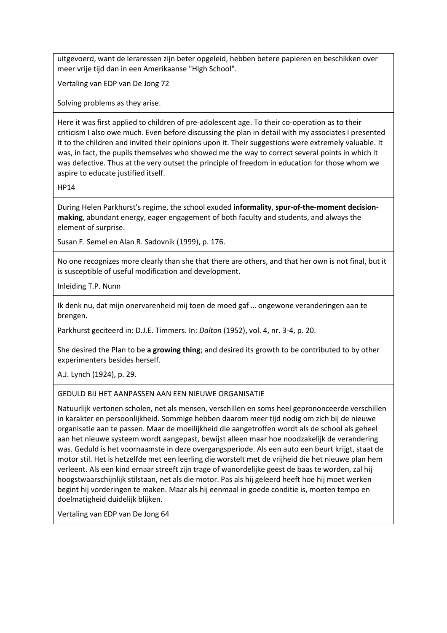uitgevoerd, want de leraressen zijn beter opgeleid, hebben betere papieren en beschikken over meer vrije tijd dan in een Amerikaanse "High School".

Vertaling van EDP van De Jong 72

Solving problems as they arise.

Here it was first applied to children of pre-adolescent age. To their co-operation as to their criticism I also owe much. Even before discussing the plan in detail with my associates I presented it to the children and invited their opinions upon it. Their suggestions were extremely valuable. It was, in fact, the pupils themselves who showed me the way to correct several points in which it was defective. Thus at the very outset the principle of freedom in education for those whom we aspire to educate justified itself.

HP14

During Helen Parkhurst's regime, the school exuded **informality**, **spur-of-the-moment decisionmaking**, abundant energy, eager engagement of both faculty and students, and always the element of surprise.

Susan F. Semel en Alan R. Sadovnik (1999), p. 176.

No one recognizes more clearly than she that there are others, and that her own is not final, but it is susceptible of useful modification and development.

Inleiding T.P. Nunn

Ik denk nu, dat mijn onervarenheid mij toen de moed gaf … ongewone veranderingen aan te brengen.

Parkhurst geciteerd in: D.J.E. Timmers. In: *Dalton* (1952), vol. 4, nr. 3-4, p. 20.

She desired the Plan to be **a growing thing**; and desired its growth to be contributed to by other experimenters besides herself.

A.J. Lynch (1924), p. 29.

# GEDULD BIJ HET AANPASSEN AAN EEN NIEUWE ORGANISATIE

Natuurlijk vertonen scholen, net als mensen, verschillen en soms heel geprononceerde verschillen in karakter en persoonlijkheid. Sommige hebben daarom meer tijd nodig om zich bij de nieuwe organisatie aan te passen. Maar de moeilijkheid die aangetroffen wordt als de school als geheel aan het nieuwe systeem wordt aangepast, bewijst alleen maar hoe noodzakelijk de verandering was. Geduld is het voornaamste in deze overgangsperiode. Als een auto een beurt krijgt, staat de motor stil. Het is hetzelfde met een leerling die worstelt met de vrijheid die het nieuwe plan hem verleent. Als een kind ernaar streeft zijn trage of wanordelijke geest de baas te worden, zal hij hoogstwaarschijnlijk stilstaan, net als die motor. Pas als hij geleerd heeft hoe hij moet werken begint hij vorderingen te maken. Maar als hij eenmaal in goede conditie is, moeten tempo en doelmatigheid duidelijk blijken.

Vertaling van EDP van De Jong 64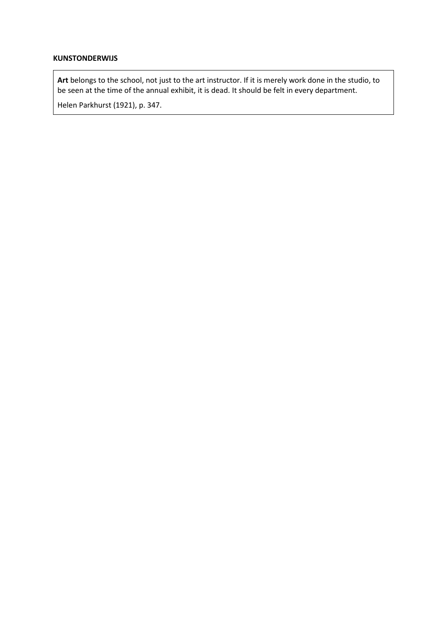## **KUNSTONDERWIJS**

**Art** belongs to the school, not just to the art instructor. If it is merely work done in the studio, to be seen at the time of the annual exhibit, it is dead. It should be felt in every department.

Helen Parkhurst (1921), p. 347.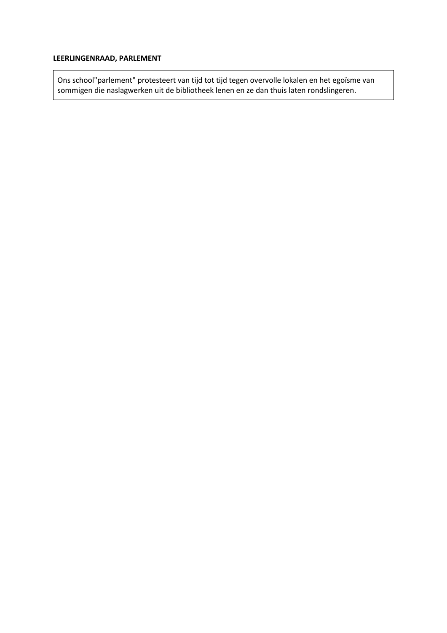# **LEERLINGENRAAD, PARLEMENT**

Ons school"parlement" protesteert van tijd tot tijd tegen overvolle lokalen en het egoïsme van sommigen die naslagwerken uit de bibliotheek lenen en ze dan thuis laten rondslingeren.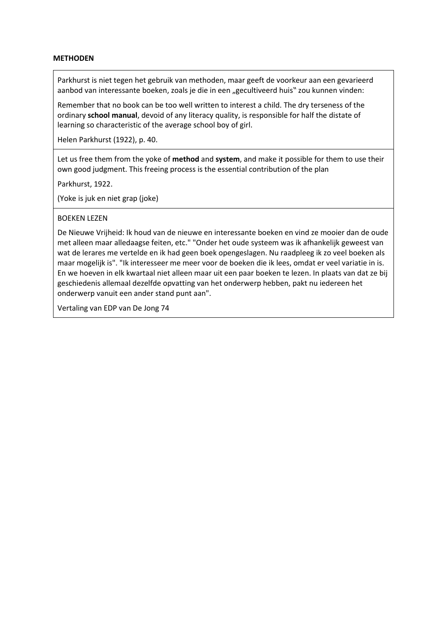## **METHODEN**

Parkhurst is niet tegen het gebruik van methoden, maar geeft de voorkeur aan een gevarieerd aanbod van interessante boeken, zoals je die in een "gecultiveerd huis" zou kunnen vinden:

Remember that no book can be too well written to interest a child. The dry terseness of the ordinary **school manual**, devoid of any literacy quality, is responsible for half the distate of learning so characteristic of the average school boy of girl.

Helen Parkhurst (1922), p. 40.

Let us free them from the yoke of **method** and **system**, and make it possible for them to use their own good judgment. This freeing process is the essential contribution of the plan

Parkhurst, 1922.

(Yoke is juk en niet grap (joke)

#### BOEKEN LEZEN

De Nieuwe Vrijheid: Ik houd van de nieuwe en interessante boeken en vind ze mooier dan de oude met alleen maar alledaagse feiten, etc." "Onder het oude systeem was ik afhankelijk geweest van wat de lerares me vertelde en ik had geen boek opengeslagen. Nu raadpleeg ik zo veel boeken als maar mogelijk is". "Ik interesseer me meer voor de boeken die ik lees, omdat er veel variatie in is. En we hoeven in elk kwartaal niet alleen maar uit een paar boeken te lezen. In plaats van dat ze bij geschiedenis allemaal dezelfde opvatting van het onderwerp hebben, pakt nu iedereen het onderwerp vanuit een ander stand punt aan".

Vertaling van EDP van De Jong 74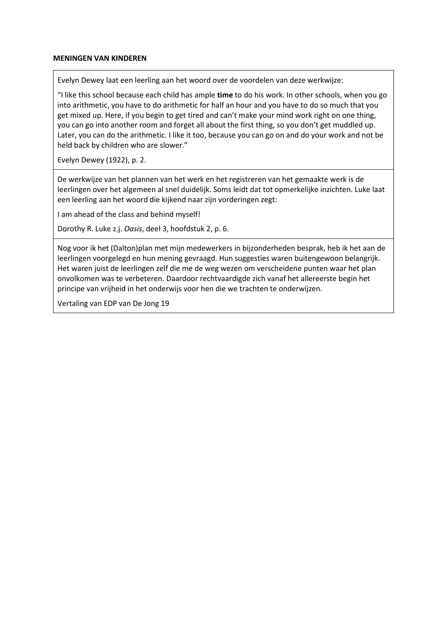#### **MENINGEN VAN KINDEREN**

Evelyn Dewey laat een leerling aan het woord over de voordelen van deze werkwijze:

"I like this school because each child has ample **time** to do his work. In other schools, when you go into arithmetic, you have to do arithmetic for half an hour and you have to do so much that you get mixed up. Here, if you begin to get tired and can't make your mind work right on one thing, you can go into another room and forget all about the first thing, so you don't get muddled up. Later, you can do the arithmetic. I like it too, because you can go on and do your work and not be held back by children who are slower."

Evelyn Dewey (1922), p. 2.

De werkwijze van het plannen van het werk en het registreren van het gemaakte werk is de leerlingen over het algemeen al snel duidelijk. Soms leidt dat tot opmerkelijke inzichten. Luke laat een leerling aan het woord die kijkend naar zijn vorderingen zegt:

I am ahead of the class and behind myself!

Dorothy R. Luke z.j. *Oasis*, deel 3, hoofdstuk 2, p. 6.

Nog voor ik het (Dalton)plan met mijn medewerkers in bijzonderheden besprak, heb ik het aan de leerlingen voorgelegd en hun mening gevraagd. Hun suggesties waren buitengewoon belangrijk. Het waren juist de leerlingen zelf die me de weg wezen om verscheidene punten waar het plan onvolkomen was te verbeteren. Daardoor rechtvaardigde zich vanaf het allereerste begin het principe van vrijheid in het onderwijs voor hen die we trachten te onderwijzen.

Vertaling van EDP van De Jong 19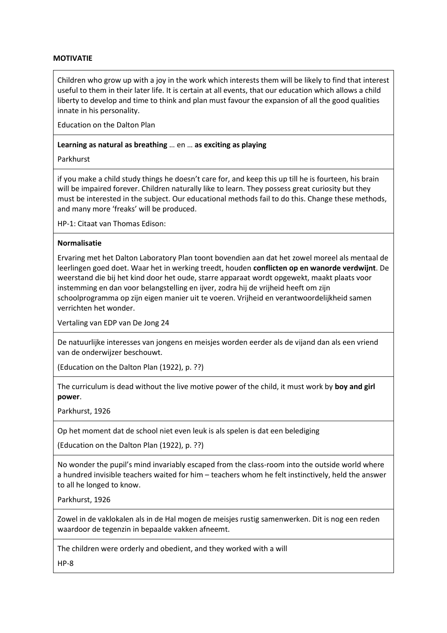## **MOTIVATIE**

Children who grow up with a joy in the work which interests them will be likely to find that interest useful to them in their later life. It is certain at all events, that our education which allows a child liberty to develop and time to think and plan must favour the expansion of all the good qualities innate in his personality.

Education on the Dalton Plan

## **Learning as natural as breathing** … en … **as exciting as playing**

Parkhurst

if you make a child study things he doesn't care for, and keep this up till he is fourteen, his brain will be impaired forever. Children naturally like to learn. They possess great curiosity but they must be interested in the subject. Our educational methods fail to do this. Change these methods, and many more 'freaks' will be produced.

HP-1: Citaat van Thomas Edison:

#### **Normalisatie**

Ervaring met het Dalton Laboratory Plan toont bovendien aan dat het zowel moreel als mentaal de leerlingen goed doet. Waar het in werking treedt, houden **conflicten op en wanorde verdwijnt**. De weerstand die bij het kind door het oude, starre apparaat wordt opgewekt, maakt plaats voor instemming en dan voor belangstelling en ijver, zodra hij de vrijheid heeft om zijn schoolprogramma op zijn eigen manier uit te voeren. Vrijheid en verantwoordelijkheid samen verrichten het wonder.

Vertaling van EDP van De Jong 24

De natuurlijke interesses van jongens en meisjes worden eerder als de vijand dan als een vriend van de onderwijzer beschouwt.

(Education on the Dalton Plan (1922), p. ??)

The curriculum is dead without the live motive power of the child, it must work by **boy and girl power**.

Parkhurst, 1926

Op het moment dat de school niet even leuk is als spelen is dat een belediging

(Education on the Dalton Plan (1922), p. ??)

No wonder the pupil's mind invariably escaped from the class-room into the outside world where a hundred invisible teachers waited for him – teachers whom he felt instinctively, held the answer to all he longed to know.

Parkhurst, 1926

Zowel in de vaklokalen als in de Hal mogen de meisjes rustig samenwerken. Dit is nog een reden waardoor de tegenzin in bepaalde vakken afneemt.

The children were orderly and obedient, and they worked with a will

HP-8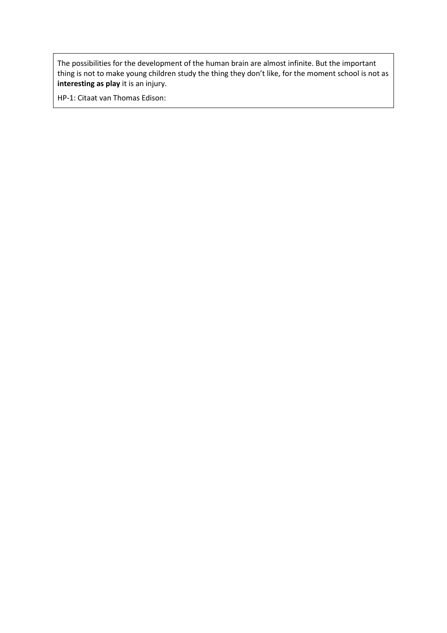The possibilities for the development of the human brain are almost infinite. But the important thing is not to make young children study the thing they don't like, for the moment school is not as **interesting as play** it is an injury.

HP-1: Citaat van Thomas Edison: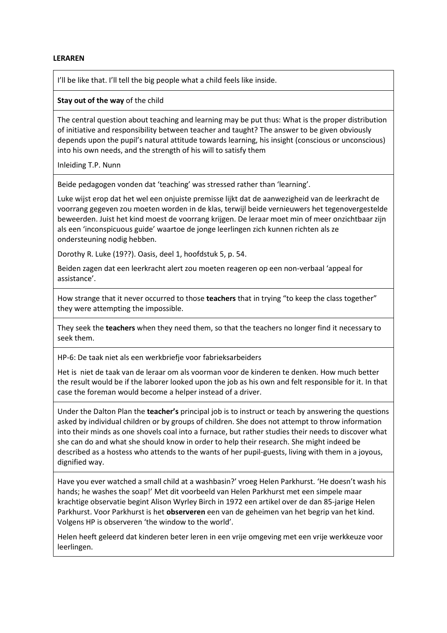#### **LERAREN**

I'll be like that. I'll tell the big people what a child feels like inside.

#### **Stay out of the way** of the child

The central question about teaching and learning may be put thus: What is the proper distribution of initiative and responsibility between teacher and taught? The answer to be given obviously depends upon the pupil's natural attitude towards learning, his insight (conscious or unconscious) into his own needs, and the strength of his will to satisfy them

Inleiding T.P. Nunn

Beide pedagogen vonden dat 'teaching' was stressed rather than 'learning'.

Luke wijst erop dat het wel een onjuiste premisse lijkt dat de aanwezigheid van de leerkracht de voorrang gegeven zou moeten worden in de klas, terwijl beide vernieuwers het tegenovergestelde beweerden. Juist het kind moest de voorrang krijgen. De leraar moet min of meer onzichtbaar zijn als een 'inconspicuous guide' waartoe de jonge leerlingen zich kunnen richten als ze ondersteuning nodig hebben.

Dorothy R. Luke (19??). Oasis, deel 1, hoofdstuk 5, p. 54.

Beiden zagen dat een leerkracht alert zou moeten reageren op een non-verbaal 'appeal for assistance'.

How strange that it never occurred to those **teachers** that in trying "to keep the class together" they were attempting the impossible.

They seek the **teachers** when they need them, so that the teachers no longer find it necessary to seek them.

HP-6: De taak niet als een werkbriefje voor fabrieksarbeiders

Het is niet de taak van de leraar om als voorman voor de kinderen te denken. How much better the result would be if the laborer looked upon the job as his own and felt responsible for it. In that case the foreman would become a helper instead of a driver.

Under the Dalton Plan the **teacher's** principal job is to instruct or teach by answering the questions asked by individual children or by groups of children. She does not attempt to throw information into their minds as one shovels coal into a furnace, but rather studies their needs to discover what she can do and what she should know in order to help their research. She might indeed be described as a hostess who attends to the wants of her pupil-guests, living with them in a joyous, dignified way.

Have you ever watched a small child at a washbasin?' vroeg Helen Parkhurst. 'He doesn't wash his hands; he washes the soap!' Met dit voorbeeld van Helen Parkhurst met een simpele maar krachtige observatie begint Alison Wyrley Birch in 1972 een artikel over de dan 85-jarige Helen Parkhurst. Voor Parkhurst is het **observeren** een van de geheimen van het begrip van het kind. Volgens HP is observeren 'the window to the world'.

Helen heeft geleerd dat kinderen beter leren in een vrije omgeving met een vrije werkkeuze voor leerlingen.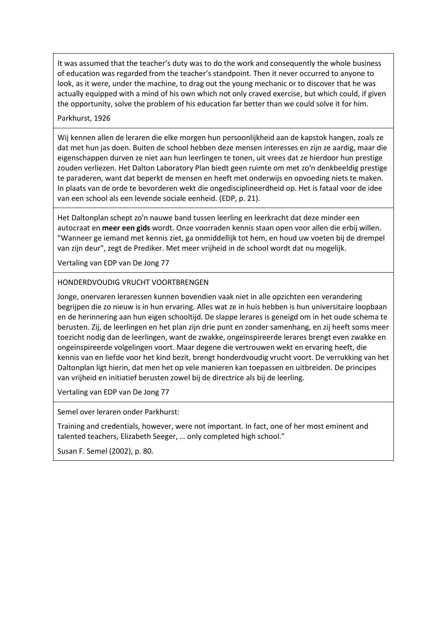It was assumed that the teacher's duty was to do the work and consequently the whole business of education was regarded from the teacher's standpoint. Then it never occurred to anyone to look, as it were, under the machine, to drag out the young mechanic or to discover that he was actually equipped with a mind of his own which not only craved exercise, but which could, if given the opportunity, solve the problem of his education far better than we could solve it for him.

## Parkhurst, 1926

Wij kennen allen de leraren die elke morgen hun persoonlijkheid aan de kapstok hangen, zoals ze dat met hun jas doen. Buiten de school hebben deze mensen interesses en zijn ze aardig, maar die eigenschappen durven ze niet aan hun leerlingen te tonen, uit vrees dat ze hierdoor hun prestige zouden verliezen. Het Dalton Laboratory Plan biedt geen ruimte om met zo'n denkbeeldig prestige te paraderen, want dat beperkt de mensen en heeft met onderwijs en opvoeding niets te maken. In plaats van de orde te bevorderen wekt die ongedisciplineerdheid op. Het is fataal voor de idee van een school als een levende sociale eenheid. (EDP, p. 21).

Het Daltonplan schept zo'n nauwe band tussen leerling en leerkracht dat deze minder een autocraat en **meer een gids** wordt. Onze voorraden kennis staan open voor allen die erbij willen. "Wanneer ge iemand met kennis ziet, ga onmiddellijk tot hem, en houd uw voeten bij de drempel van zijn deur", zegt de Prediker. Met meer vrijheid in de school wordt dat nu mogelijk.

Vertaling van EDP van De Jong 77

## HONDERDVOUDIG VRUCHT VOORTBRENGEN

Jonge, onervaren leraressen kunnen bovendien vaak niet in alle opzichten een verandering begrijpen die zo nieuw is in hun ervaring. Alles wat ze in huis hebben is hun universitaire loopbaan en de herinnering aan hun eigen schooltijd. De slappe lerares is geneigd om in het oude schema te berusten. Zij, de leerlingen en het plan zijn drie punt en zonder samenhang, en zij heeft soms meer toezicht nodig dan de leerlingen, want de zwakke, ongeïnspireerde lerares brengt even zwakke en ongeïnspireerde volgelingen voort. Maar degene die vertrouwen wekt en ervaring heeft, die kennis van en liefde voor het kind bezit, brengt honderdvoudig vrucht voort. De verrukking van het Daltonplan ligt hierin, dat men het op vele manieren kan toepassen en uitbreiden. De principes van vrijheid en initiatief berusten zowel bij de directrice als bij de leerling.

Vertaling van EDP van De Jong 77

Semel over leraren onder Parkhurst:

Training and credentials, however, were not important. In fact, one of her most eminent and talented teachers, Elizabeth Seeger, … only completed high school."

Susan F. Semel (2002), p. 80.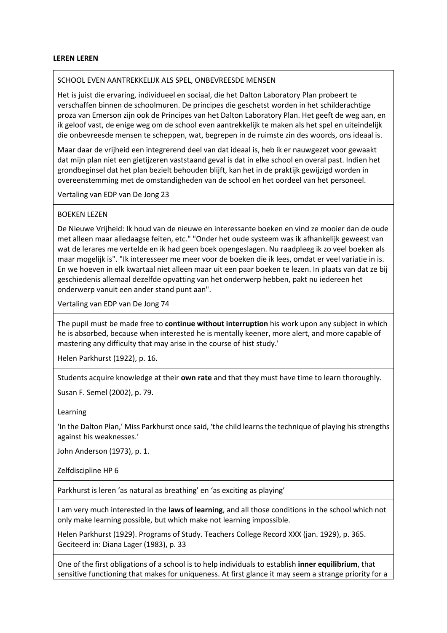#### **LEREN LEREN**

#### SCHOOL EVEN AANTREKKELIJK ALS SPEL, ONBEVREESDE MENSEN

Het is juist die ervaring, individueel en sociaal, die het Dalton Laboratory Plan probeert te verschaffen binnen de schoolmuren. De principes die geschetst worden in het schilderachtige proza van Emerson zijn ook de Principes van het Dalton Laboratory Plan. Het geeft de weg aan, en ik geloof vast, de enige weg om de school even aantrekkelijk te maken als het spel en uiteindelijk die onbevreesde mensen te scheppen, wat, begrepen in de ruimste zin des woords, ons ideaal is.

Maar daar de vrijheid een integrerend deel van dat ideaal is, heb ik er nauwgezet voor gewaakt dat mijn plan niet een gietijzeren vaststaand geval is dat in elke school en overal past. Indien het grondbeginsel dat het plan bezielt behouden blijft, kan het in de praktijk gewijzigd worden in overeenstemming met de omstandigheden van de school en het oordeel van het personeel.

Vertaling van EDP van De Jong 23

#### BOEKEN LEZEN

De Nieuwe Vrijheid: Ik houd van de nieuwe en interessante boeken en vind ze mooier dan de oude met alleen maar alledaagse feiten, etc." "Onder het oude systeem was ik afhankelijk geweest van wat de lerares me vertelde en ik had geen boek opengeslagen. Nu raadpleeg ik zo veel boeken als maar mogelijk is". "Ik interesseer me meer voor de boeken die ik lees, omdat er veel variatie in is. En we hoeven in elk kwartaal niet alleen maar uit een paar boeken te lezen. In plaats van dat ze bij geschiedenis allemaal dezelfde opvatting van het onderwerp hebben, pakt nu iedereen het onderwerp vanuit een ander stand punt aan".

Vertaling van EDP van De Jong 74

The pupil must be made free to **continue without interruption** his work upon any subject in which he is absorbed, because when interested he is mentally keener, more alert, and more capable of mastering any difficulty that may arise in the course of hist study.'

Helen Parkhurst (1922), p. 16.

Students acquire knowledge at their **own rate** and that they must have time to learn thoroughly.

Susan F. Semel (2002), p. 79.

#### Learning

'In the Dalton Plan,' Miss Parkhurst once said, 'the child learns the technique of playing his strengths against his weaknesses.'

John Anderson (1973), p. 1.

Zelfdiscipline HP 6

Parkhurst is leren 'as natural as breathing' en 'as exciting as playing'

I am very much interested in the **laws of learning**, and all those conditions in the school which not only make learning possible, but which make not learning impossible.

Helen Parkhurst (1929). Programs of Study. Teachers College Record XXX (jan. 1929), p. 365. Geciteerd in: Diana Lager (1983), p. 33

One of the first obligations of a school is to help individuals to establish **inner equilibrium**, that sensitive functioning that makes for uniqueness. At first glance it may seem a strange priority for a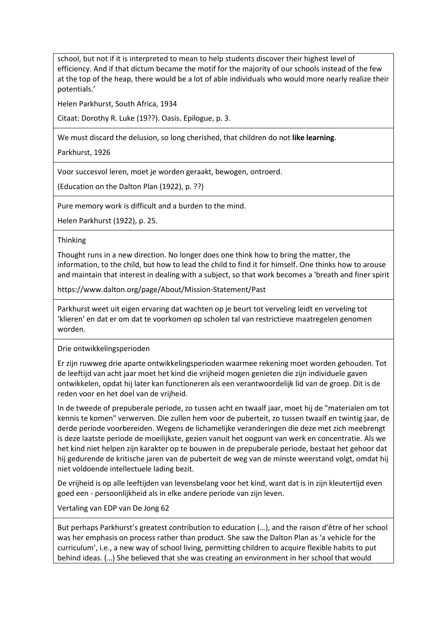school, but not if it is interpreted to mean to help students discover their highest level of efficiency. And if that dictum became the motif for the majority of our schools instead of the few at the top of the heap, there would be a lot of able individuals who would more nearly realize their potentials.'

Helen Parkhurst, South Africa, 1934

Citaat: Dorothy R. Luke (19??). Oasis. Epilogue, p. 3.

We must discard the delusion, so long cherished, that children do not **like learning**.

Parkhurst, 1926

Voor succesvol leren, moet je worden geraakt, bewogen, ontroerd.

(Education on the Dalton Plan (1922), p. ??)

Pure memory work is difficult and a burden to the mind.

Helen Parkhurst (1922), p. 25.

#### Thinking

Thought runs in a new direction. No longer does one think how to bring the matter, the information, to the child, but how to lead the child to find it for himself. One thinks how to arouse and maintain that interest in dealing with a subject, so that work becomes a 'breath and finer spirit

https://www.dalton.org/page/About/Mission-Statement/Past

Parkhurst weet uit eigen ervaring dat wachten op je beurt tot verveling leidt en verveling tot 'klieren' en dat er om dat te voorkomen op scholen tal van restrictieve maatregelen genomen worden.

Drie ontwikkelingsperioden

Er zijn ruwweg drie aparte ontwikkelingsperioden waarmee rekening moet worden gehouden. Tot de leeftijd van acht jaar moet het kind die vrijheid mogen genieten die zijn individuele gaven ontwikkelen, opdat hij later kan functioneren als een verantwoordelijk lid van de groep. Dit is de reden voor en het doel van de vrijheid.

In de tweede of prepuberale periode, zo tussen acht en twaalf jaar, moet hij de "materialen om tot kennis te komen" verwerven. Die zullen hem voor de puberteit, zo tussen twaalf en twintig jaar, de derde periode voorbereiden. Wegens de lichamelijke veranderingen die deze met zich meebrengt is deze laatste periode de moeilijkste, gezien vanuit het oogpunt van werk en concentratie. Als we het kind niet helpen zijn karakter op te bouwen in de prepuberale periode, bestaat het gehoor dat hij gedurende de kritische jaren van de puberteit de weg van de minste weerstand volgt, omdat hij niet voldoende intellectuele lading bezit.

De vrijheid is op alle leeftijden van levensbelang voor het kind, want dat is in zijn kleutertijd even goed een - persoonlijkheid als in elke andere periode van zijn leven.

Vertaling van EDP van De Jong 62

But perhaps Parkhurst's greatest contribution to education (…), and the raison d'être of her school was her emphasis on process rather than product. She saw the Dalton Plan as 'a vehicle for the curriculum', i.e., a new way of school living, permitting children to acquire flexible habits to put behind ideas. (…) She believed that she was creating an environment in her school that would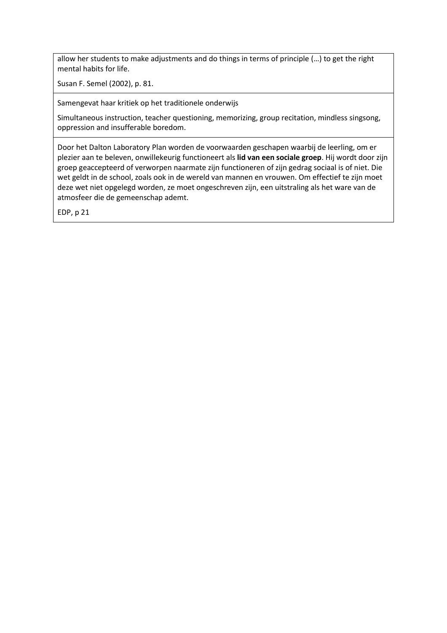allow her students to make adjustments and do things in terms of principle (…) to get the right mental habits for life.

Susan F. Semel (2002), p. 81.

Samengevat haar kritiek op het traditionele onderwijs

Simultaneous instruction, teacher questioning, memorizing, group recitation, mindless singsong, oppression and insufferable boredom.

Door het Dalton Laboratory Plan worden de voorwaarden geschapen waarbij de leerling, om er plezier aan te beleven, onwillekeurig functioneert als **lid van een sociale groep**. Hij wordt door zijn groep geaccepteerd of verworpen naarmate zijn functioneren of zijn gedrag sociaal is of niet. Die wet geldt in de school, zoals ook in de wereld van mannen en vrouwen. Om effectief te zijn moet deze wet niet opgelegd worden, ze moet ongeschreven zijn, een uitstraling als het ware van de atmosfeer die de gemeenschap ademt.

EDP, p 21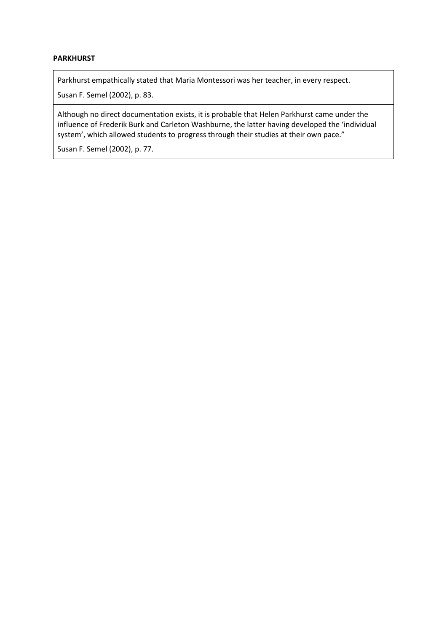# **PARKHURST**

Parkhurst empathically stated that Maria Montessori was her teacher, in every respect.

Susan F. Semel (2002), p. 83.

Although no direct documentation exists, it is probable that Helen Parkhurst came under the influence of Frederik Burk and Carleton Washburne, the latter having developed the 'individual system', which allowed students to progress through their studies at their own pace."

Susan F. Semel (2002), p. 77.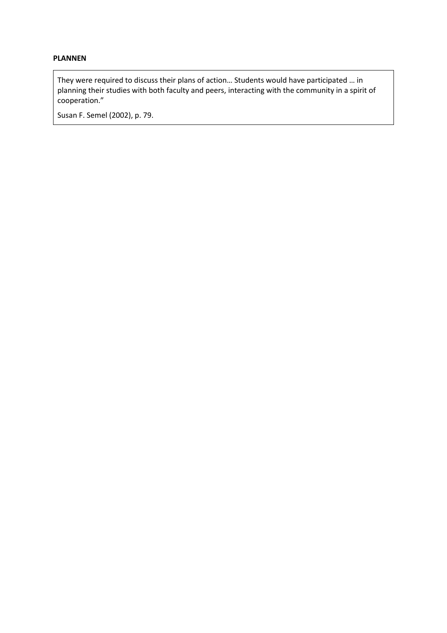# **PLANNEN**

They were required to discuss their plans of action… Students would have participated … in planning their studies with both faculty and peers, interacting with the community in a spirit of cooperation."

Susan F. Semel (2002), p. 79.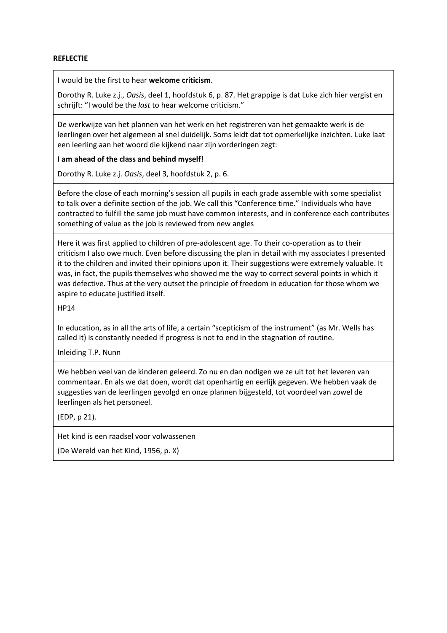## **REFLECTIE**

I would be the first to hear **welcome criticism**.

Dorothy R. Luke z.j., *Oasis*, deel 1, hoofdstuk 6, p. 87. Het grappige is dat Luke zich hier vergist en schrijft: "I would be the *last* to hear welcome criticism."

De werkwijze van het plannen van het werk en het registreren van het gemaakte werk is de leerlingen over het algemeen al snel duidelijk. Soms leidt dat tot opmerkelijke inzichten. Luke laat een leerling aan het woord die kijkend naar zijn vorderingen zegt:

**I am ahead of the class and behind myself!**

Dorothy R. Luke z.j. *Oasis*, deel 3, hoofdstuk 2, p. 6.

Before the close of each morning's session all pupils in each grade assemble with some specialist to talk over a definite section of the job. We call this "Conference time." Individuals who have contracted to fulfill the same job must have common interests, and in conference each contributes something of value as the job is reviewed from new angles

Here it was first applied to children of pre-adolescent age. To their co-operation as to their criticism I also owe much. Even before discussing the plan in detail with my associates I presented it to the children and invited their opinions upon it. Their suggestions were extremely valuable. It was, in fact, the pupils themselves who showed me the way to correct several points in which it was defective. Thus at the very outset the principle of freedom in education for those whom we aspire to educate justified itself.

HP14

In education, as in all the arts of life, a certain "scepticism of the instrument" (as Mr. Wells has called it) is constantly needed if progress is not to end in the stagnation of routine.

Inleiding T.P. Nunn

We hebben veel van de kinderen geleerd. Zo nu en dan nodigen we ze uit tot het leveren van commentaar. En als we dat doen, wordt dat openhartig en eerlijk gegeven. We hebben vaak de suggesties van de leerlingen gevolgd en onze plannen bijgesteld, tot voordeel van zowel de leerlingen als het personeel.

(EDP, p 21).

Het kind is een raadsel voor volwassenen

(De Wereld van het Kind, 1956, p. X)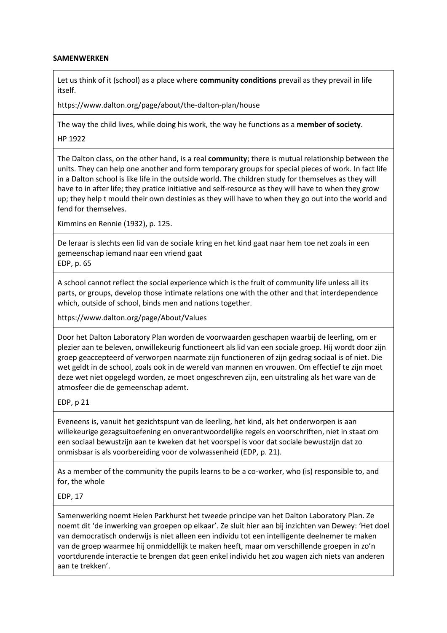## **SAMENWERKEN**

Let us think of it (school) as a place where **community conditions** prevail as they prevail in life itself.

https://www.dalton.org/page/about/the-dalton-plan/house

The way the child lives, while doing his work, the way he functions as a **member of society**.

HP 1922

The Dalton class, on the other hand, is a real **community**; there is mutual relationship between the units. They can help one another and form temporary groups for special pieces of work. In fact life in a Dalton school is like life in the outside world. The children study for themselves as they will have to in after life; they pratice initiative and self-resource as they will have to when they grow up; they help t mould their own destinies as they will have to when they go out into the world and fend for themselves.

Kimmins en Rennie (1932), p. 125.

De leraar is slechts een lid van de sociale kring en het kind gaat naar hem toe net zoals in een gemeenschap iemand naar een vriend gaat EDP, p. 65

A school cannot reflect the social experience which is the fruit of community life unless all its parts, or groups, develop those intimate relations one with the other and that interdependence which, outside of school, binds men and nations together.

https://www.dalton.org/page/About/Values

Door het Dalton Laboratory Plan worden de voorwaarden geschapen waarbij de leerling, om er plezier aan te beleven, onwillekeurig functioneert als lid van een sociale groep. Hij wordt door zijn groep geaccepteerd of verworpen naarmate zijn functioneren of zijn gedrag sociaal is of niet. Die wet geldt in de school, zoals ook in de wereld van mannen en vrouwen. Om effectief te zijn moet deze wet niet opgelegd worden, ze moet ongeschreven zijn, een uitstraling als het ware van de atmosfeer die de gemeenschap ademt.

EDP, p 21

Eveneens is, vanuit het gezichtspunt van de leerling, het kind, als het onderworpen is aan willekeurige gezagsuitoefening en onverantwoordelijke regels en voorschriften, niet in staat om een sociaal bewustzijn aan te kweken dat het voorspel is voor dat sociale bewustzijn dat zo onmisbaar is als voorbereiding voor de volwassenheid (EDP, p. 21).

As a member of the community the pupils learns to be a co-worker, who (is) responsible to, and for, the whole

EDP, 17

Samenwerking noemt Helen Parkhurst het tweede principe van het Dalton Laboratory Plan. Ze noemt dit 'de inwerking van groepen op elkaar'. Ze sluit hier aan bij inzichten van Dewey: 'Het doel van democratisch onderwijs is niet alleen een individu tot een intelligente deelnemer te maken van de groep waarmee hij onmiddellijk te maken heeft, maar om verschillende groepen in zo'n voortdurende interactie te brengen dat geen enkel individu het zou wagen zich niets van anderen aan te trekken'.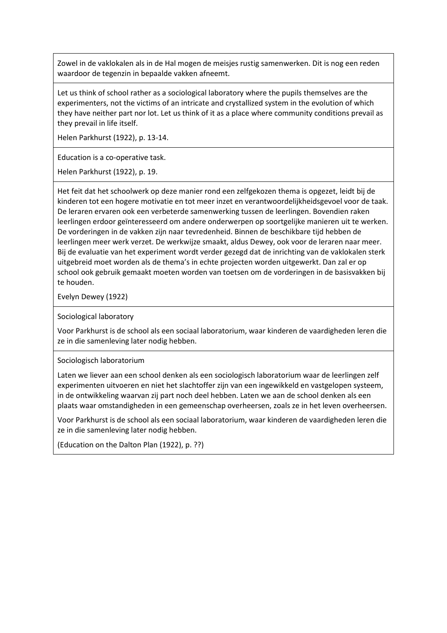Zowel in de vaklokalen als in de Hal mogen de meisjes rustig samenwerken. Dit is nog een reden waardoor de tegenzin in bepaalde vakken afneemt.

Let us think of school rather as a sociological laboratory where the pupils themselves are the experimenters, not the victims of an intricate and crystallized system in the evolution of which they have neither part nor lot. Let us think of it as a place where community conditions prevail as they prevail in life itself.

Helen Parkhurst (1922), p. 13-14.

Education is a co-operative task.

Helen Parkhurst (1922), p. 19.

Het feit dat het schoolwerk op deze manier rond een zelfgekozen thema is opgezet, leidt bij de kinderen tot een hogere motivatie en tot meer inzet en verantwoordelijkheidsgevoel voor de taak. De leraren ervaren ook een verbeterde samenwerking tussen de leerlingen. Bovendien raken leerlingen erdoor geïnteresseerd om andere onderwerpen op soortgelijke manieren uit te werken. De vorderingen in de vakken zijn naar tevredenheid. Binnen de beschikbare tijd hebben de leerlingen meer werk verzet. De werkwijze smaakt, aldus Dewey, ook voor de leraren naar meer. Bij de evaluatie van het experiment wordt verder gezegd dat de inrichting van de vaklokalen sterk uitgebreid moet worden als de thema's in echte projecten worden uitgewerkt. Dan zal er op school ook gebruik gemaakt moeten worden van toetsen om de vorderingen in de basisvakken bij te houden.

Evelyn Dewey (1922)

Sociological laboratory

Voor Parkhurst is de school als een sociaal laboratorium, waar kinderen de vaardigheden leren die ze in die samenleving later nodig hebben.

Sociologisch laboratorium

Laten we liever aan een school denken als een sociologisch laboratorium waar de leerlingen zelf experimenten uitvoeren en niet het slachtoffer zijn van een ingewikkeld en vastgelopen systeem, in de ontwikkeling waarvan zij part noch deel hebben. Laten we aan de school denken als een plaats waar omstandigheden in een gemeenschap overheersen, zoals ze in het leven overheersen.

Voor Parkhurst is de school als een sociaal laboratorium, waar kinderen de vaardigheden leren die ze in die samenleving later nodig hebben.

(Education on the Dalton Plan (1922), p. ??)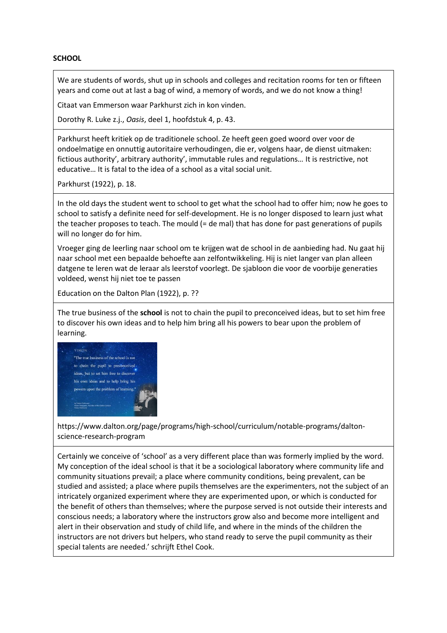## **SCHOOL**

We are students of words, shut up in schools and colleges and recitation rooms for ten or fifteen years and come out at last a bag of wind, a memory of words, and we do not know a thing!

Citaat van Emmerson waar Parkhurst zich in kon vinden.

Dorothy R. Luke z.j., *Oasis*, deel 1, hoofdstuk 4, p. 43.

Parkhurst heeft kritiek op de traditionele school. Ze heeft geen goed woord over voor de ondoelmatige en onnuttig autoritaire verhoudingen, die er, volgens haar, de dienst uitmaken: fictious authority', arbitrary authority', immutable rules and regulations… It is restrictive, not educative… It is fatal to the idea of a school as a vital social unit.

Parkhurst (1922), p. 18.

In the old days the student went to school to get what the school had to offer him; now he goes to school to satisfy a definite need for self-development. He is no longer disposed to learn just what the teacher proposes to teach. The mould (= de mal) that has done for past generations of pupils will no longer do for him.

Vroeger ging de leerling naar school om te krijgen wat de school in de aanbieding had. Nu gaat hij naar school met een bepaalde behoefte aan zelfontwikkeling. Hij is niet langer van plan alleen datgene te leren wat de leraar als leerstof voorlegt. De sjabloon die voor de voorbije generaties voldeed, wenst hij niet toe te passen

Education on the Dalton Plan (1922), p. ??

The true business of the **school** is not to chain the pupil to preconceived ideas, but to set him free to discover his own ideas and to help him bring all his powers to bear upon the problem of learning.



https://www.dalton.org/page/programs/high-school/curriculum/notable-programs/daltonscience-research-program

Certainly we conceive of 'school' as a very different place than was formerly implied by the word. My conception of the ideal school is that it be a sociological laboratory where community life and community situations prevail; a place where community conditions, being prevalent, can be studied and assisted; a place where pupils themselves are the experimenters, not the subject of an intricately organized experiment where they are experimented upon, or which is conducted for the benefit of others than themselves; where the purpose served is not outside their interests and conscious needs; a laboratory where the instructors grow also and become more intelligent and alert in their observation and study of child life, and where in the minds of the children the instructors are not drivers but helpers, who stand ready to serve the pupil community as their special talents are needed.' schrijft Ethel Cook.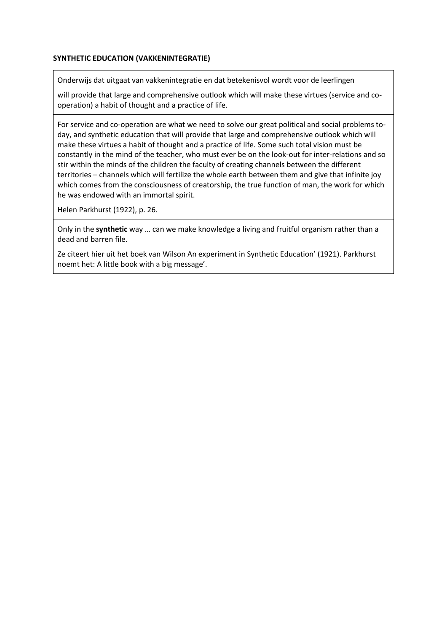## **SYNTHETIC EDUCATION (VAKKENINTEGRATIE)**

Onderwijs dat uitgaat van vakkenintegratie en dat betekenisvol wordt voor de leerlingen

will provide that large and comprehensive outlook which will make these virtues (service and cooperation) a habit of thought and a practice of life.

For service and co-operation are what we need to solve our great political and social problems today, and synthetic education that will provide that large and comprehensive outlook which will make these virtues a habit of thought and a practice of life. Some such total vision must be constantly in the mind of the teacher, who must ever be on the look-out for inter-relations and so stir within the minds of the children the faculty of creating channels between the different territories – channels which will fertilize the whole earth between them and give that infinite joy which comes from the consciousness of creatorship, the true function of man, the work for which he was endowed with an immortal spirit.

Helen Parkhurst (1922), p. 26.

Only in the **synthetic** way … can we make knowledge a living and fruitful organism rather than a dead and barren file.

Ze citeert hier uit het boek van Wilson An experiment in Synthetic Education' (1921). Parkhurst noemt het: A little book with a big message'.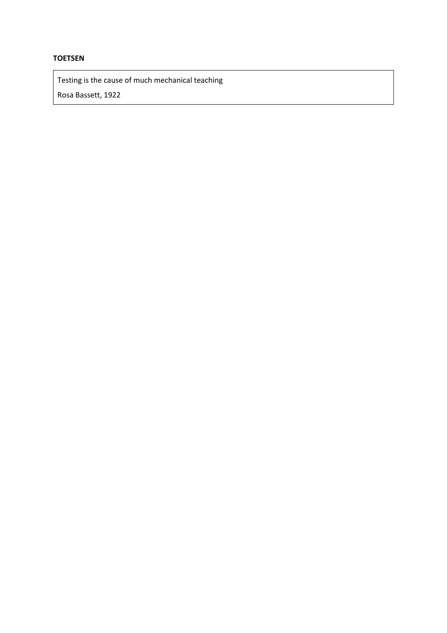# **TOETSEN**

Testing is the cause of much mechanical teaching Rosa Bassett, 1922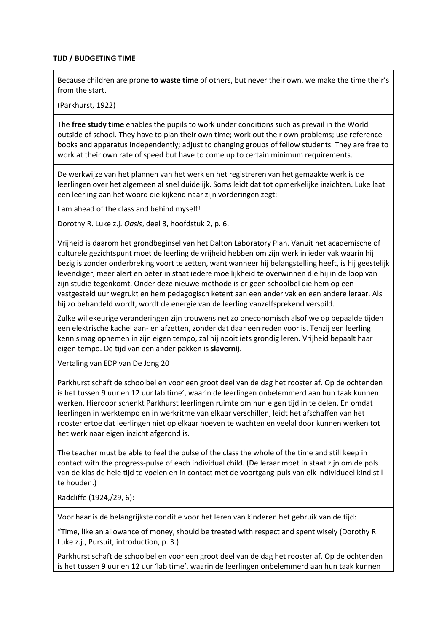## **TIJD / BUDGETING TIME**

Because children are prone **to waste time** of others, but never their own, we make the time their's from the start.

(Parkhurst, 1922)

The **free study time** enables the pupils to work under conditions such as prevail in the World outside of school. They have to plan their own time; work out their own problems; use reference books and apparatus independently; adjust to changing groups of fellow students. They are free to work at their own rate of speed but have to come up to certain minimum requirements.

De werkwijze van het plannen van het werk en het registreren van het gemaakte werk is de leerlingen over het algemeen al snel duidelijk. Soms leidt dat tot opmerkelijke inzichten. Luke laat een leerling aan het woord die kijkend naar zijn vorderingen zegt:

I am ahead of the class and behind myself!

Dorothy R. Luke z.j. *Oasis*, deel 3, hoofdstuk 2, p. 6.

Vrijheid is daarom het grondbeginsel van het Dalton Laboratory Plan. Vanuit het academische of culturele gezichtspunt moet de leerling de vrijheid hebben om zijn werk in ieder vak waarin hij bezig is zonder onderbreking voort te zetten, want wanneer hij belangstelling heeft, is hij geestelijk levendiger, meer alert en beter in staat iedere moeilijkheid te overwinnen die hij in de loop van zijn studie tegenkomt. Onder deze nieuwe methode is er geen schoolbel die hem op een vastgesteld uur wegrukt en hem pedagogisch ketent aan een ander vak en een andere leraar. Als hij zo behandeld wordt, wordt de energie van de leerling vanzelfsprekend verspild.

Zulke willekeurige veranderingen zijn trouwens net zo oneconomisch alsof we op bepaalde tijden een elektrische kachel aan- en afzetten, zonder dat daar een reden voor is. Tenzij een leerling kennis mag opnemen in zijn eigen tempo, zal hij nooit iets grondig leren. Vrijheid bepaalt haar eigen tempo. De tijd van een ander pakken is **slavernij**.

Vertaling van EDP van De Jong 20

Parkhurst schaft de schoolbel en voor een groot deel van de dag het rooster af. Op de ochtenden is het tussen 9 uur en 12 uur lab time', waarin de leerlingen onbelemmerd aan hun taak kunnen werken. Hierdoor schenkt Parkhurst leerlingen ruimte om hun eigen tijd in te delen. En omdat leerlingen in werktempo en in werkritme van elkaar verschillen, leidt het afschaffen van het rooster ertoe dat leerlingen niet op elkaar hoeven te wachten en veelal door kunnen werken tot het werk naar eigen inzicht afgerond is.

The teacher must be able to feel the pulse of the class the whole of the time and still keep in contact with the progress-pulse of each individual child. (De leraar moet in staat zijn om de pols van de klas de hele tijd te voelen en in contact met de voortgang-puls van elk individueel kind stil te houden.)

Radcliffe (1924,/29, 6):

Voor haar is de belangrijkste conditie voor het leren van kinderen het gebruik van de tijd:

"Time, like an allowance of money, should be treated with respect and spent wisely (Dorothy R. Luke z.j., Pursuit, introduction, p. 3.)

Parkhurst schaft de schoolbel en voor een groot deel van de dag het rooster af. Op de ochtenden is het tussen 9 uur en 12 uur 'lab time', waarin de leerlingen onbelemmerd aan hun taak kunnen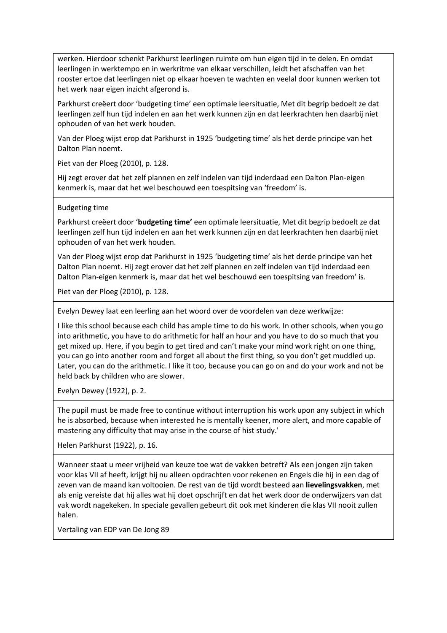werken. Hierdoor schenkt Parkhurst leerlingen ruimte om hun eigen tijd in te delen. En omdat leerlingen in werktempo en in werkritme van elkaar verschillen, leidt het afschaffen van het rooster ertoe dat leerlingen niet op elkaar hoeven te wachten en veelal door kunnen werken tot het werk naar eigen inzicht afgerond is.

Parkhurst creëert door 'budgeting time' een optimale leersituatie, Met dit begrip bedoelt ze dat leerlingen zelf hun tijd indelen en aan het werk kunnen zijn en dat leerkrachten hen daarbij niet ophouden of van het werk houden.

Van der Ploeg wijst erop dat Parkhurst in 1925 'budgeting time' als het derde principe van het Dalton Plan noemt.

Piet van der Ploeg (2010), p. 128.

Hij zegt erover dat het zelf plannen en zelf indelen van tijd inderdaad een Dalton Plan-eigen kenmerk is, maar dat het wel beschouwd een toespitsing van 'freedom' is.

#### Budgeting time

Parkhurst creëert door '**budgeting time'** een optimale leersituatie, Met dit begrip bedoelt ze dat leerlingen zelf hun tijd indelen en aan het werk kunnen zijn en dat leerkrachten hen daarbij niet ophouden of van het werk houden.

Van der Ploeg wijst erop dat Parkhurst in 1925 'budgeting time' als het derde principe van het Dalton Plan noemt. Hij zegt erover dat het zelf plannen en zelf indelen van tijd inderdaad een Dalton Plan-eigen kenmerk is, maar dat het wel beschouwd een toespitsing van freedom' is.

Piet van der Ploeg (2010), p. 128.

Evelyn Dewey laat een leerling aan het woord over de voordelen van deze werkwijze:

I like this school because each child has ample time to do his work. In other schools, when you go into arithmetic, you have to do arithmetic for half an hour and you have to do so much that you get mixed up. Here, if you begin to get tired and can't make your mind work right on one thing, you can go into another room and forget all about the first thing, so you don't get muddled up. Later, you can do the arithmetic. I like it too, because you can go on and do your work and not be held back by children who are slower.

Evelyn Dewey (1922), p. 2.

The pupil must be made free to continue without interruption his work upon any subject in which he is absorbed, because when interested he is mentally keener, more alert, and more capable of mastering any difficulty that may arise in the course of hist study.'

Helen Parkhurst (1922), p. 16.

Wanneer staat u meer vrijheid van keuze toe wat de vakken betreft? Als een jongen zijn taken voor klas VII af heeft, krijgt hij nu alleen opdrachten voor rekenen en Engels die hij in een dag of zeven van de maand kan voltooien. De rest van de tijd wordt besteed aan **lievelingsvakken**, met als enig vereiste dat hij alles wat hij doet opschrijft en dat het werk door de onderwijzers van dat vak wordt nagekeken. In speciale gevallen gebeurt dit ook met kinderen die klas VII nooit zullen halen.

Vertaling van EDP van De Jong 89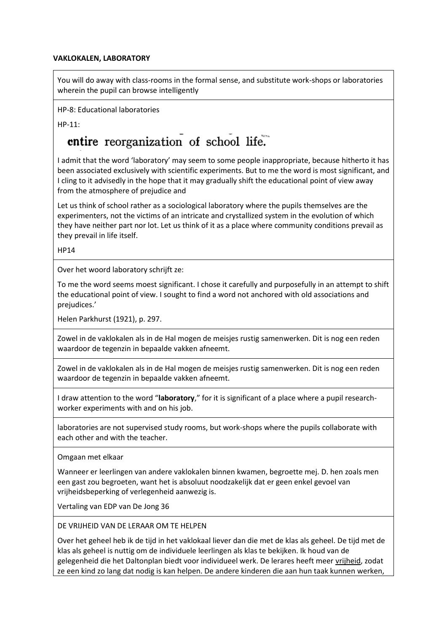## **VAKLOKALEN, LABORATORY**

You will do away with class-rooms in the formal sense, and substitute work-shops or laboratories wherein the pupil can browse intelligently

HP-8: Educational laboratories

HP-11:

# entire reorganization of school life.

I admit that the word 'laboratory' may seem to some people inappropriate, because hitherto it has been associated exclusively with scientific experiments. But to me the word is most significant, and I cling to it advisedly in the hope that it may gradually shift the educational point of view away from the atmosphere of prejudice and

Let us think of school rather as a sociological laboratory where the pupils themselves are the experimenters, not the victims of an intricate and crystallized system in the evolution of which they have neither part nor lot. Let us think of it as a place where community conditions prevail as they prevail in life itself.

HP14

Over het woord laboratory schrijft ze:

To me the word seems moest significant. I chose it carefully and purposefully in an attempt to shift the educational point of view. I sought to find a word not anchored with old associations and prejudices.'

Helen Parkhurst (1921), p. 297.

Zowel in de vaklokalen als in de Hal mogen de meisjes rustig samenwerken. Dit is nog een reden waardoor de tegenzin in bepaalde vakken afneemt.

Zowel in de vaklokalen als in de Hal mogen de meisjes rustig samenwerken. Dit is nog een reden waardoor de tegenzin in bepaalde vakken afneemt.

I draw attention to the word "**laboratory**," for it is significant of a place where a pupil researchworker experiments with and on his job.

laboratories are not supervised study rooms, but work-shops where the pupils collaborate with each other and with the teacher.

Omgaan met elkaar

Wanneer er leerlingen van andere vaklokalen binnen kwamen, begroette mej. D. hen zoals men een gast zou begroeten, want het is absoluut noodzakelijk dat er geen enkel gevoel van vrijheidsbeperking of verlegenheid aanwezig is.

Vertaling van EDP van De Jong 36

DE VRIJHEID VAN DE LERAAR OM TE HELPEN

Over het geheel heb ik de tijd in het vaklokaal liever dan die met de klas als geheel. De tijd met de klas als geheel is nuttig om de individuele leerlingen als klas te bekijken. Ik houd van de gelegenheid die het Daltonplan biedt voor individueel werk. De lerares heeft meer vrijheid, zodat ze een kind zo lang dat nodig is kan helpen. De andere kinderen die aan hun taak kunnen werken,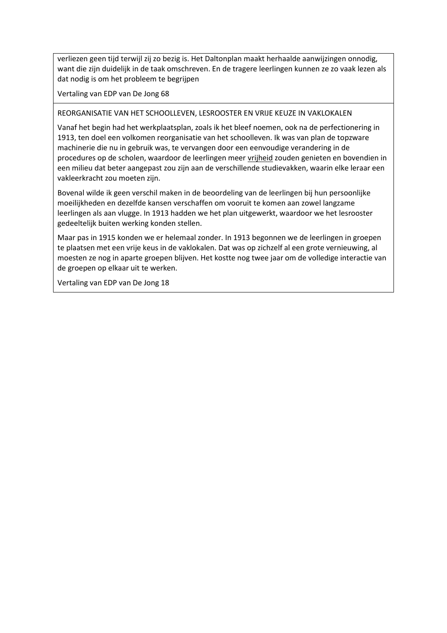verliezen geen tijd terwijl zij zo bezig is. Het Daltonplan maakt herhaalde aanwijzingen onnodig, want die zijn duidelijk in de taak omschreven. En de tragere leerlingen kunnen ze zo vaak lezen als dat nodig is om het probleem te begrijpen

Vertaling van EDP van De Jong 68

### REORGANISATIE VAN HET SCHOOLLEVEN, LESROOSTER EN VRIJE KEUZE IN VAKLOKALEN

Vanaf het begin had het werkplaatsplan, zoals ik het bleef noemen, ook na de perfectionering in 1913, ten doel een volkomen reorganisatie van het schoolleven. Ik was van plan de topzware machinerie die nu in gebruik was, te vervangen door een eenvoudige verandering in de procedures op de scholen, waardoor de leerlingen meer vrijheid zouden genieten en bovendien in een milieu dat beter aangepast zou zijn aan de verschillende studievakken, waarin elke leraar een vakleerkracht zou moeten zijn.

Bovenal wilde ik geen verschil maken in de beoordeling van de leerlingen bij hun persoonlijke moeilijkheden en dezelfde kansen verschaffen om vooruit te komen aan zowel langzame leerlingen als aan vlugge. In 1913 hadden we het plan uitgewerkt, waardoor we het lesrooster gedeeltelijk buiten werking konden stellen.

Maar pas in 1915 konden we er helemaal zonder. In 1913 begonnen we de leerlingen in groepen te plaatsen met een vrije keus in de vaklokalen. Dat was op zichzelf al een grote vernieuwing, al moesten ze nog in aparte groepen blijven. Het kostte nog twee jaar om de volledige interactie van de groepen op elkaar uit te werken.

Vertaling van EDP van De Jong 18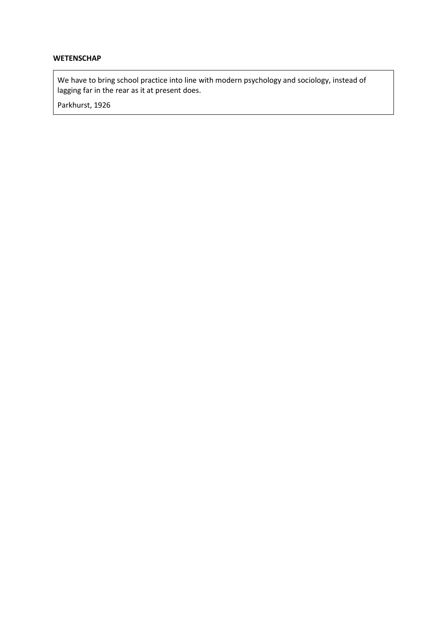# **WETENSCHAP**

We have to bring school practice into line with modern psychology and sociology, instead of lagging far in the rear as it at present does.

Parkhurst, 1926